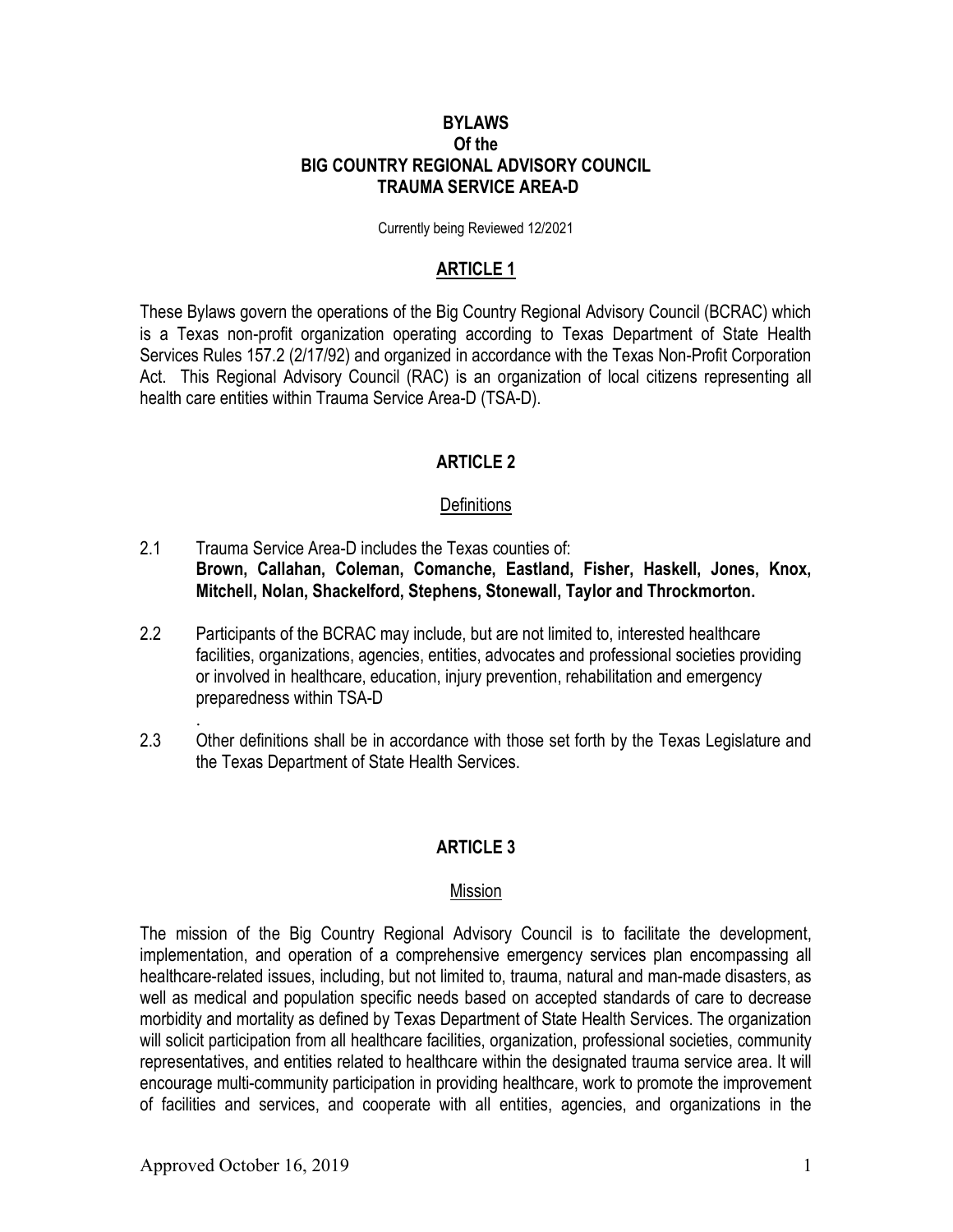#### **BYLAWS** Of the BIG COUNTRY REGIONAL ADVISORY COUNCIL TRAUMA SERVICE AREA-D

Currently being Reviewed 12/2021

### ARTICLE 1

These Bylaws govern the operations of the Big Country Regional Advisory Council (BCRAC) which is a Texas non-profit organization operating according to Texas Department of State Health Services Rules 157.2 (2/17/92) and organized in accordance with the Texas Non-Profit Corporation Act. This Regional Advisory Council (RAC) is an organization of local citizens representing all health care entities within Trauma Service Area-D (TSA-D).

### ARTICLE 2

#### **Definitions**

- 2.1 Trauma Service Area-D includes the Texas counties of: Brown, Callahan, Coleman, Comanche, Eastland, Fisher, Haskell, Jones, Knox, Mitchell, Nolan, Shackelford, Stephens, Stonewall, Taylor and Throckmorton.
- 2.2 Participants of the BCRAC may include, but are not limited to, interested healthcare facilities, organizations, agencies, entities, advocates and professional societies providing or involved in healthcare, education, injury prevention, rehabilitation and emergency preparedness within TSA-D
- 2.3 Other definitions shall be in accordance with those set forth by the Texas Legislature and the Texas Department of State Health Services.

## ARTICLE 3

#### Mission

The mission of the Big Country Regional Advisory Council is to facilitate the development, implementation, and operation of a comprehensive emergency services plan encompassing all healthcare-related issues, including, but not limited to, trauma, natural and man-made disasters, as well as medical and population specific needs based on accepted standards of care to decrease morbidity and mortality as defined by Texas Department of State Health Services. The organization will solicit participation from all healthcare facilities, organization, professional societies, community representatives, and entities related to healthcare within the designated trauma service area. It will encourage multi-community participation in providing healthcare, work to promote the improvement of facilities and services, and cooperate with all entities, agencies, and organizations in the

.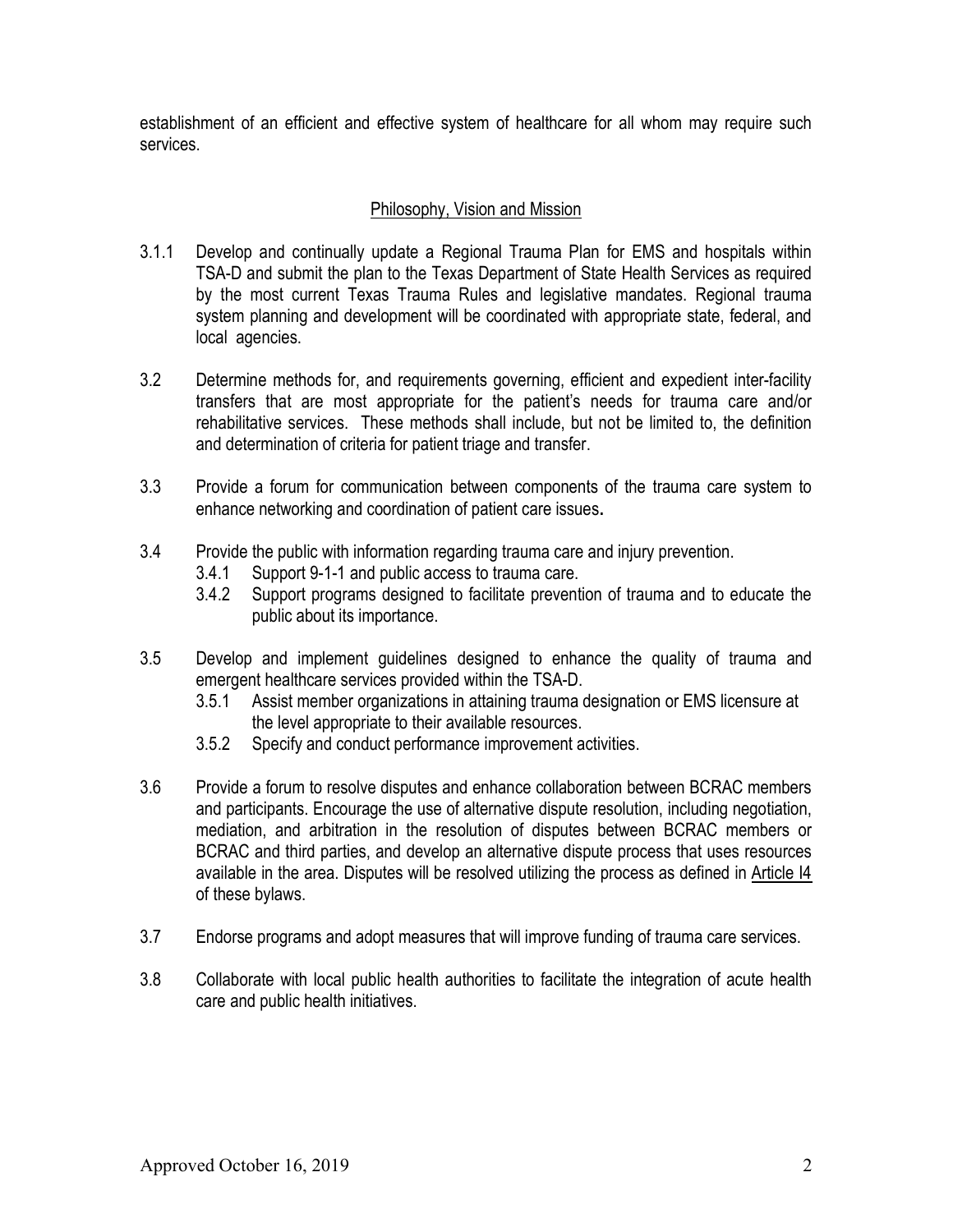establishment of an efficient and effective system of healthcare for all whom may require such services.

## Philosophy, Vision and Mission

- 3.1.1 Develop and continually update a Regional Trauma Plan for EMS and hospitals within TSA-D and submit the plan to the Texas Department of State Health Services as required by the most current Texas Trauma Rules and legislative mandates. Regional trauma system planning and development will be coordinated with appropriate state, federal, and local agencies.
- 3.2 Determine methods for, and requirements governing, efficient and expedient inter-facility transfers that are most appropriate for the patient's needs for trauma care and/or rehabilitative services. These methods shall include, but not be limited to, the definition and determination of criteria for patient triage and transfer.
- 3.3 Provide a forum for communication between components of the trauma care system to enhance networking and coordination of patient care issues.
- 3.4 Provide the public with information regarding trauma care and injury prevention.
	- 3.4.1 Support 9-1-1 and public access to trauma care.
	- 3.4.2 Support programs designed to facilitate prevention of trauma and to educate the public about its importance.
- 3.5 Develop and implement guidelines designed to enhance the quality of trauma and emergent healthcare services provided within the TSA-D.
	- 3.5.1 Assist member organizations in attaining trauma designation or EMS licensure at the level appropriate to their available resources.
	- 3.5.2 Specify and conduct performance improvement activities.
- 3.6 Provide a forum to resolve disputes and enhance collaboration between BCRAC members and participants. Encourage the use of alternative dispute resolution, including negotiation, mediation, and arbitration in the resolution of disputes between BCRAC members or BCRAC and third parties, and develop an alternative dispute process that uses resources available in the area. Disputes will be resolved utilizing the process as defined in Article I4 of these bylaws.
- 3.7 Endorse programs and adopt measures that will improve funding of trauma care services.
- 3.8 Collaborate with local public health authorities to facilitate the integration of acute health care and public health initiatives.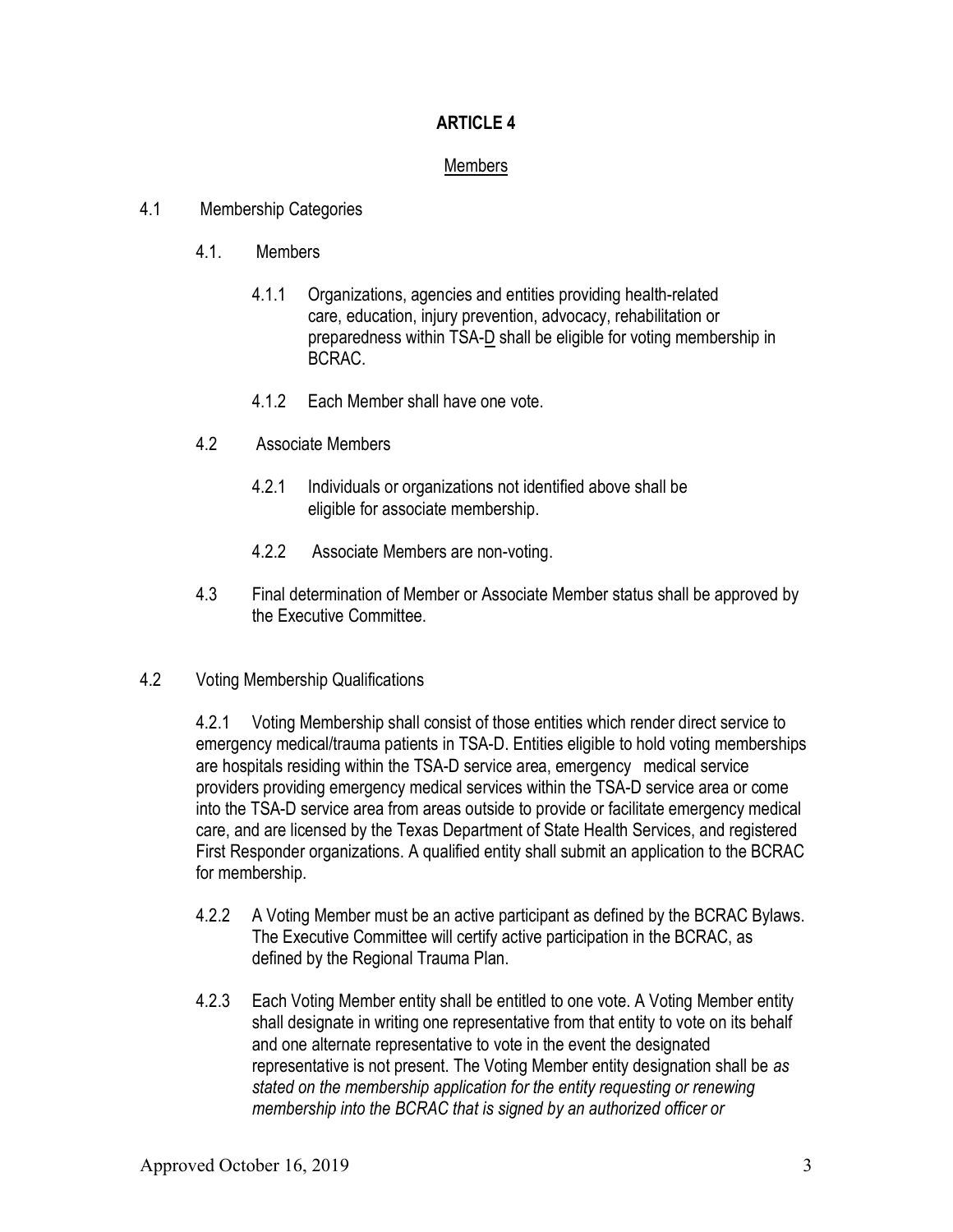# Members

- 4.1 Membership Categories
	- 4.1. Members
		- 4.1.1 Organizations, agencies and entities providing health-related care, education, injury prevention, advocacy, rehabilitation or preparedness within TSA-D shall be eligible for voting membership in BCRAC.
		- 4.1.2 Each Member shall have one vote.
	- 4.2 Associate Members
		- 4.2.1 Individuals or organizations not identified above shall be eligible for associate membership.
		- 4.2.2 Associate Members are non-voting.
	- 4.3 Final determination of Member or Associate Member status shall be approved by the Executive Committee.
- 4.2 Voting Membership Qualifications

4.2.1 Voting Membership shall consist of those entities which render direct service to emergency medical/trauma patients in TSA-D. Entities eligible to hold voting memberships are hospitals residing within the TSA-D service area, emergency medical service providers providing emergency medical services within the TSA-D service area or come into the TSA-D service area from areas outside to provide or facilitate emergency medical care, and are licensed by the Texas Department of State Health Services, and registered First Responder organizations. A qualified entity shall submit an application to the BCRAC for membership.

- 4.2.2 A Voting Member must be an active participant as defined by the BCRAC Bylaws. The Executive Committee will certify active participation in the BCRAC, as defined by the Regional Trauma Plan.
- 4.2.3 Each Voting Member entity shall be entitled to one vote. A Voting Member entity shall designate in writing one representative from that entity to vote on its behalf and one alternate representative to vote in the event the designated representative is not present. The Voting Member entity designation shall be as stated on the membership application for the entity requesting or renewing membership into the BCRAC that is signed by an authorized officer or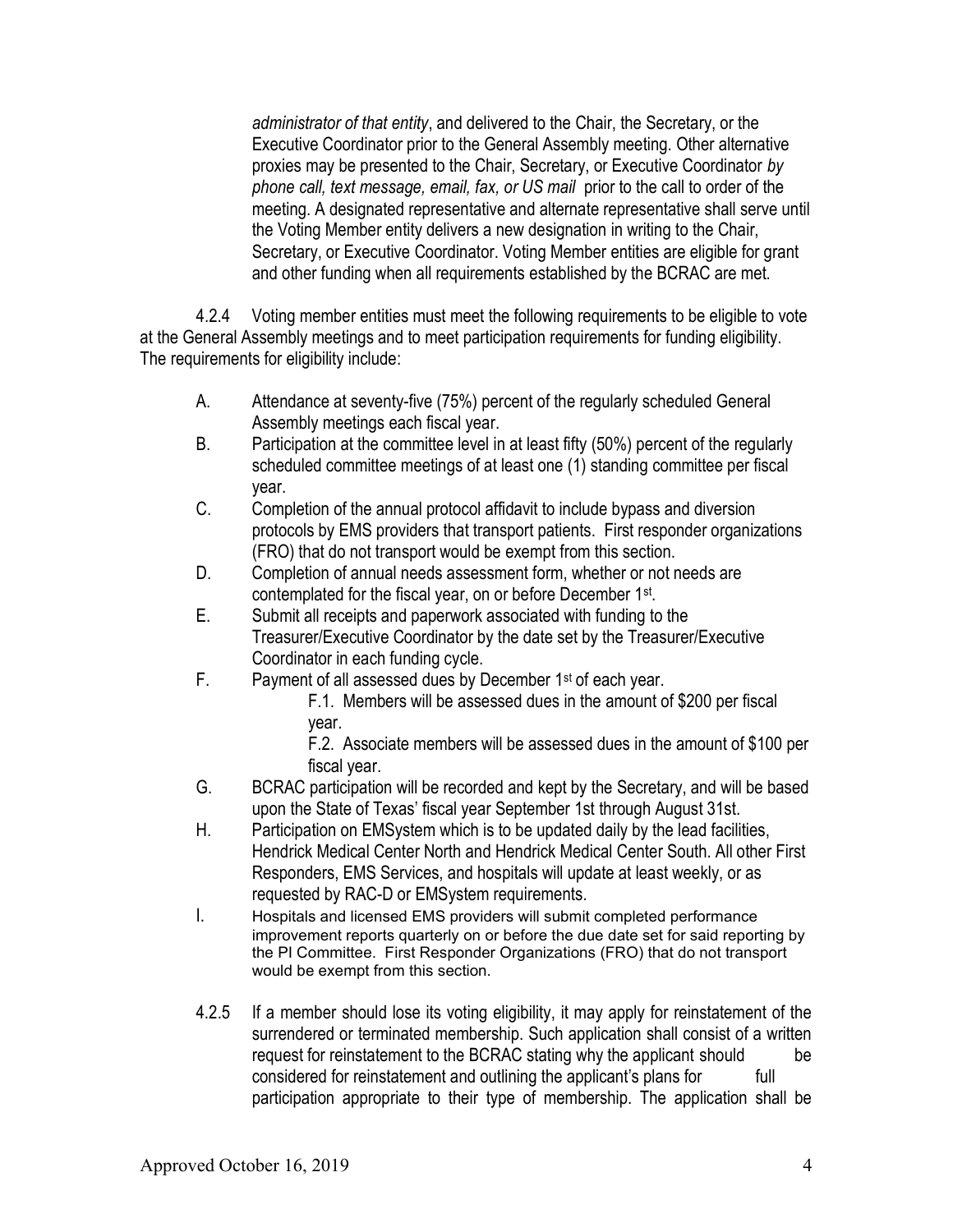administrator of that entity, and delivered to the Chair, the Secretary, or the Executive Coordinator prior to the General Assembly meeting. Other alternative proxies may be presented to the Chair, Secretary, or Executive Coordinator by phone call, text message, email, fax, or US mail prior to the call to order of the meeting. A designated representative and alternate representative shall serve until the Voting Member entity delivers a new designation in writing to the Chair, Secretary, or Executive Coordinator. Voting Member entities are eligible for grant and other funding when all requirements established by the BCRAC are met.

 4.2.4 Voting member entities must meet the following requirements to be eligible to vote at the General Assembly meetings and to meet participation requirements for funding eligibility. The requirements for eligibility include:

- A. Attendance at seventy-five (75%) percent of the regularly scheduled General Assembly meetings each fiscal year.
- B. Participation at the committee level in at least fifty (50%) percent of the regularly scheduled committee meetings of at least one (1) standing committee per fiscal year.
- C. Completion of the annual protocol affidavit to include bypass and diversion protocols by EMS providers that transport patients. First responder organizations (FRO) that do not transport would be exempt from this section.
- D. Completion of annual needs assessment form, whether or not needs are contemplated for the fiscal year, on or before December 1<sup>st</sup>.
- E. Submit all receipts and paperwork associated with funding to the Treasurer/Executive Coordinator by the date set by the Treasurer/Executive Coordinator in each funding cycle.
- F. Payment of all assessed dues by December 1st of each year.
	- F.1. Members will be assessed dues in the amount of \$200 per fiscal year.

F.2. Associate members will be assessed dues in the amount of \$100 per fiscal year.

- G. BCRAC participation will be recorded and kept by the Secretary, and will be based upon the State of Texas' fiscal year September 1st through August 31st.
- H. Participation on EMSystem which is to be updated daily by the lead facilities, Hendrick Medical Center North and Hendrick Medical Center South. All other First Responders, EMS Services, and hospitals will update at least weekly, or as requested by RAC-D or EMSystem requirements.
- I. Hospitals and licensed EMS providers will submit completed performance improvement reports quarterly on or before the due date set for said reporting by the PI Committee. First Responder Organizations (FRO) that do not transport would be exempt from this section.
- 4.2.5 If a member should lose its voting eligibility, it may apply for reinstatement of the surrendered or terminated membership. Such application shall consist of a written request for reinstatement to the BCRAC stating why the applicant should be considered for reinstatement and outlining the applicant's plans for full participation appropriate to their type of membership. The application shall be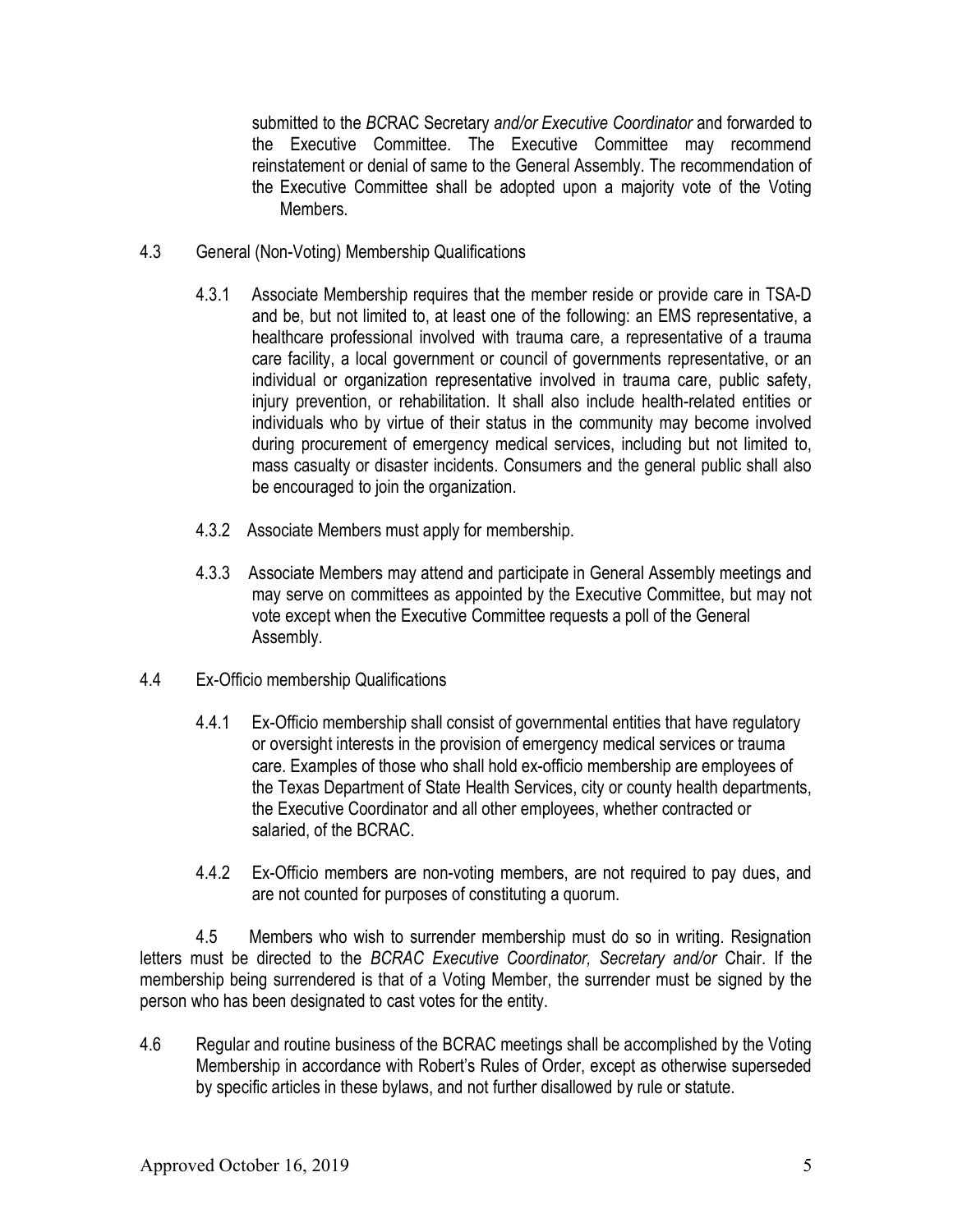submitted to the BCRAC Secretary and/or Executive Coordinator and forwarded to the Executive Committee. The Executive Committee may recommend reinstatement or denial of same to the General Assembly. The recommendation of the Executive Committee shall be adopted upon a majority vote of the Voting **Members** 

- 4.3 General (Non-Voting) Membership Qualifications
	- 4.3.1 Associate Membership requires that the member reside or provide care in TSA-D and be, but not limited to, at least one of the following: an EMS representative, a healthcare professional involved with trauma care, a representative of a trauma care facility, a local government or council of governments representative, or an individual or organization representative involved in trauma care, public safety, injury prevention, or rehabilitation. It shall also include health-related entities or individuals who by virtue of their status in the community may become involved during procurement of emergency medical services, including but not limited to, mass casualty or disaster incidents. Consumers and the general public shall also be encouraged to join the organization.
	- 4.3.2 Associate Members must apply for membership.
	- 4.3.3 Associate Members may attend and participate in General Assembly meetings and may serve on committees as appointed by the Executive Committee, but may not vote except when the Executive Committee requests a poll of the General Assembly.
- 4.4 Ex-Officio membership Qualifications
	- 4.4.1 Ex-Officio membership shall consist of governmental entities that have regulatory or oversight interests in the provision of emergency medical services or trauma care. Examples of those who shall hold ex-officio membership are employees of the Texas Department of State Health Services, city or county health departments, the Executive Coordinator and all other employees, whether contracted or salaried, of the BCRAC.
	- 4.4.2 Ex-Officio members are non-voting members, are not required to pay dues, and are not counted for purposes of constituting a quorum.

 4.5 Members who wish to surrender membership must do so in writing. Resignation letters must be directed to the BCRAC Executive Coordinator, Secretary and/or Chair. If the membership being surrendered is that of a Voting Member, the surrender must be signed by the person who has been designated to cast votes for the entity.

4.6 Regular and routine business of the BCRAC meetings shall be accomplished by the Voting Membership in accordance with Robert's Rules of Order, except as otherwise superseded by specific articles in these bylaws, and not further disallowed by rule or statute.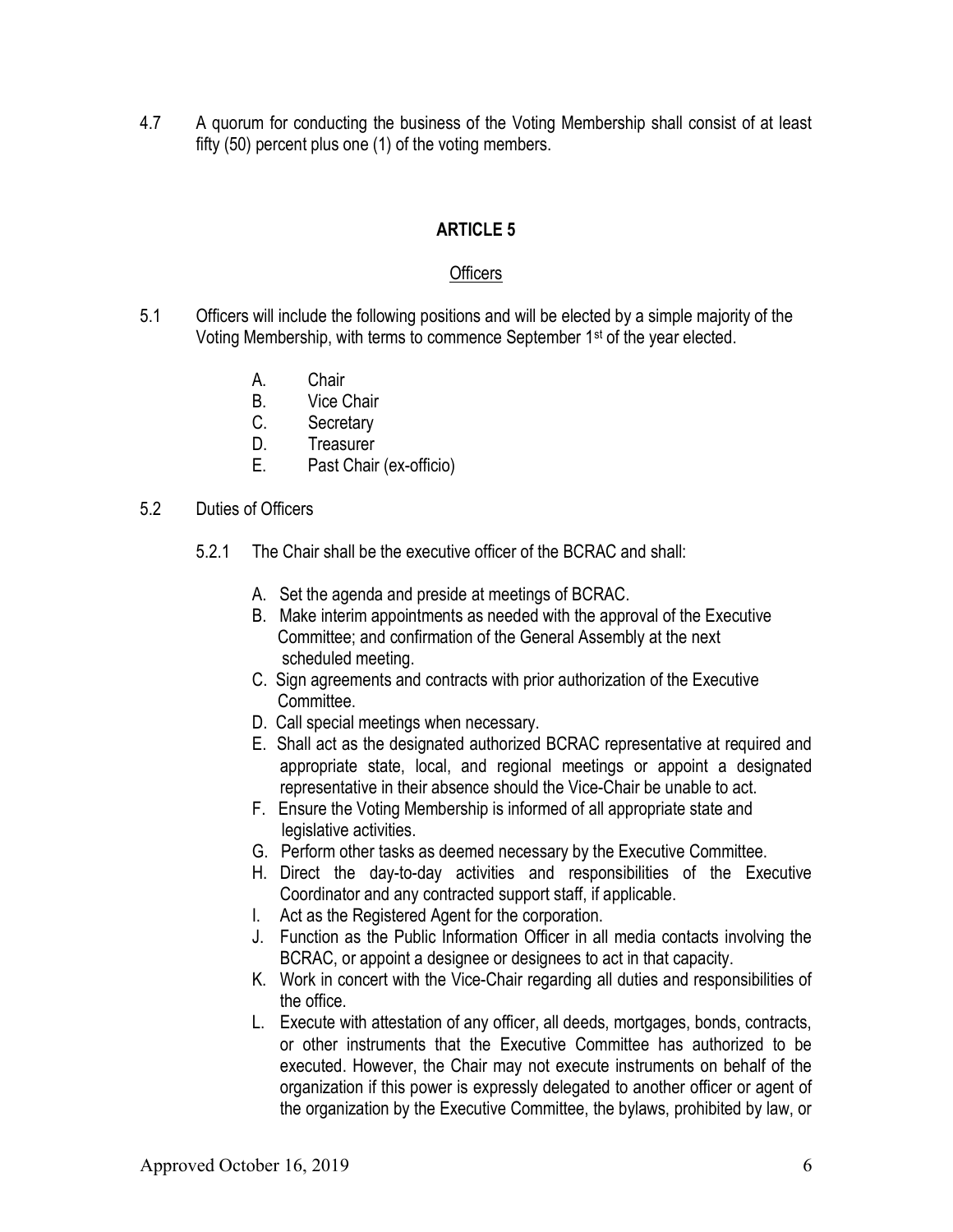4.7 A quorum for conducting the business of the Voting Membership shall consist of at least fifty (50) percent plus one (1) of the voting members.

## ARTICLE 5

### **Officers**

- 5.1 Officers will include the following positions and will be elected by a simple majority of the Voting Membership, with terms to commence September 1st of the year elected.
	- A. Chair
	- B. Vice Chair
	- C. Secretary
	- D. Treasurer
	- E. Past Chair (ex-officio)
- 5.2 Duties of Officers
	- 5.2.1 The Chair shall be the executive officer of the BCRAC and shall:
		- A. Set the agenda and preside at meetings of BCRAC.
		- B. Make interim appointments as needed with the approval of the Executive Committee; and confirmation of the General Assembly at the next scheduled meeting.
		- C. Sign agreements and contracts with prior authorization of the Executive Committee.
		- D. Call special meetings when necessary.
		- E. Shall act as the designated authorized BCRAC representative at required and appropriate state, local, and regional meetings or appoint a designated representative in their absence should the Vice-Chair be unable to act.
		- F. Ensure the Voting Membership is informed of all appropriate state and legislative activities.
		- G. Perform other tasks as deemed necessary by the Executive Committee.
		- H. Direct the day-to-day activities and responsibilities of the Executive Coordinator and any contracted support staff, if applicable.
		- I. Act as the Registered Agent for the corporation.
		- J. Function as the Public Information Officer in all media contacts involving the BCRAC, or appoint a designee or designees to act in that capacity.
		- K. Work in concert with the Vice-Chair regarding all duties and responsibilities of the office.
		- L. Execute with attestation of any officer, all deeds, mortgages, bonds, contracts, or other instruments that the Executive Committee has authorized to be executed. However, the Chair may not execute instruments on behalf of the organization if this power is expressly delegated to another officer or agent of the organization by the Executive Committee, the bylaws, prohibited by law, or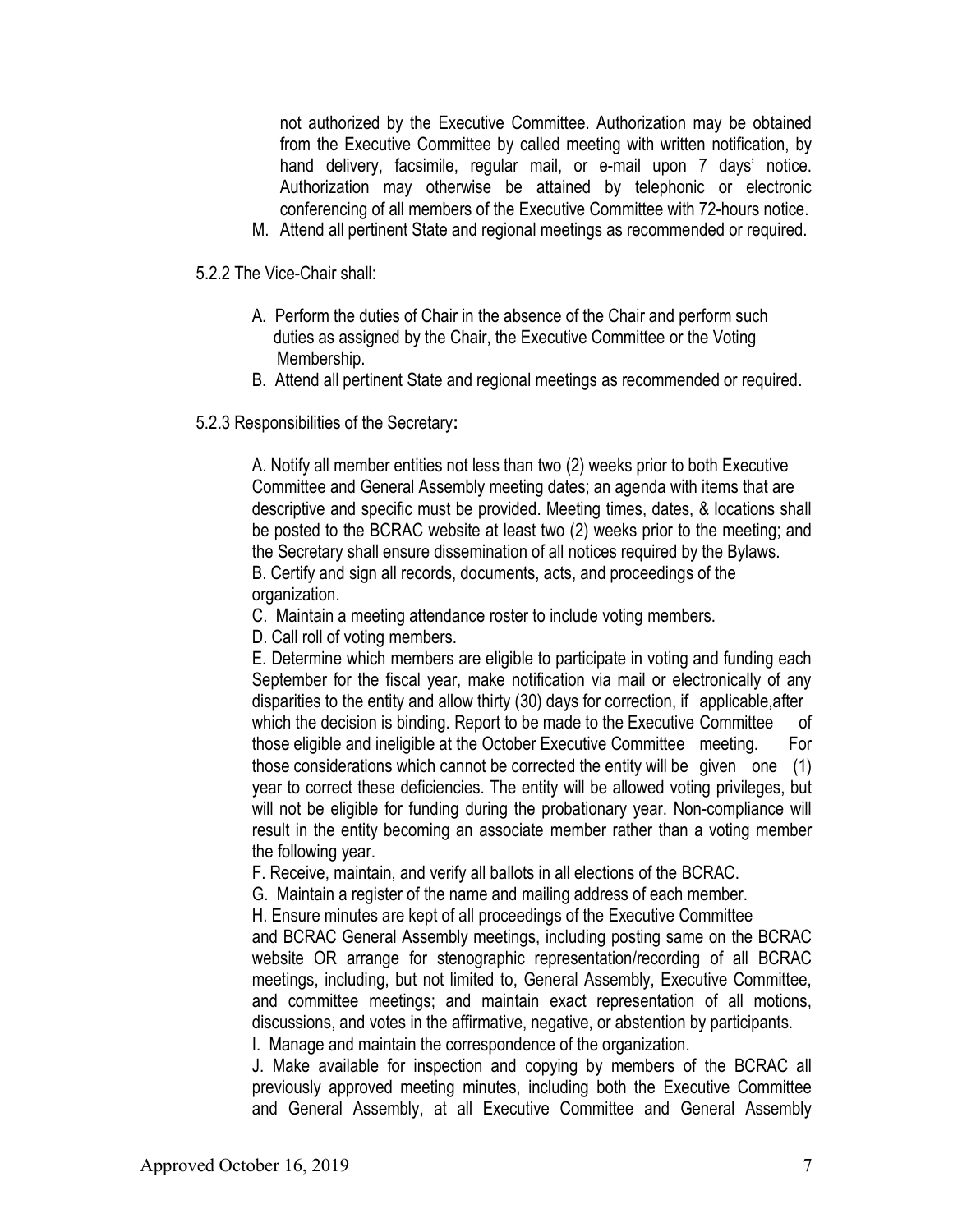not authorized by the Executive Committee. Authorization may be obtained from the Executive Committee by called meeting with written notification, by hand delivery, facsimile, regular mail, or e-mail upon 7 days' notice. Authorization may otherwise be attained by telephonic or electronic conferencing of all members of the Executive Committee with 72-hours notice.

M. Attend all pertinent State and regional meetings as recommended or required.

5.2.2 The Vice-Chair shall:

- A. Perform the duties of Chair in the absence of the Chair and perform such duties as assigned by the Chair, the Executive Committee or the Voting Membership.
- B. Attend all pertinent State and regional meetings as recommended or required.
- 5.2.3 Responsibilities of the Secretary:

 A. Notify all member entities not less than two (2) weeks prior to both Executive Committee and General Assembly meeting dates; an agenda with items that are descriptive and specific must be provided. Meeting times, dates, & locations shall be posted to the BCRAC website at least two (2) weeks prior to the meeting; and the Secretary shall ensure dissemination of all notices required by the Bylaws. B. Certify and sign all records, documents, acts, and proceedings of the organization.

- C. Maintain a meeting attendance roster to include voting members.
- D. Call roll of voting members.

E. Determine which members are eligible to participate in voting and funding each September for the fiscal year, make notification via mail or electronically of any disparities to the entity and allow thirty (30) days for correction, if applicable,after which the decision is binding. Report to be made to the Executive Committee of those eligible and ineligible at the October Executive Committee meeting. For those considerations which cannot be corrected the entity will be given one (1) year to correct these deficiencies. The entity will be allowed voting privileges, but will not be eligible for funding during the probationary year. Non-compliance will result in the entity becoming an associate member rather than a voting member the following year.

F. Receive, maintain, and verify all ballots in all elections of the BCRAC.

G. Maintain a register of the name and mailing address of each member.

H. Ensure minutes are kept of all proceedings of the Executive Committee

 and BCRAC General Assembly meetings, including posting same on the BCRAC website OR arrange for stenographic representation/recording of all BCRAC meetings, including, but not limited to, General Assembly, Executive Committee, and committee meetings; and maintain exact representation of all motions, discussions, and votes in the affirmative, negative, or abstention by participants. I. Manage and maintain the correspondence of the organization.

 J. Make available for inspection and copying by members of the BCRAC all previously approved meeting minutes, including both the Executive Committee and General Assembly, at all Executive Committee and General Assembly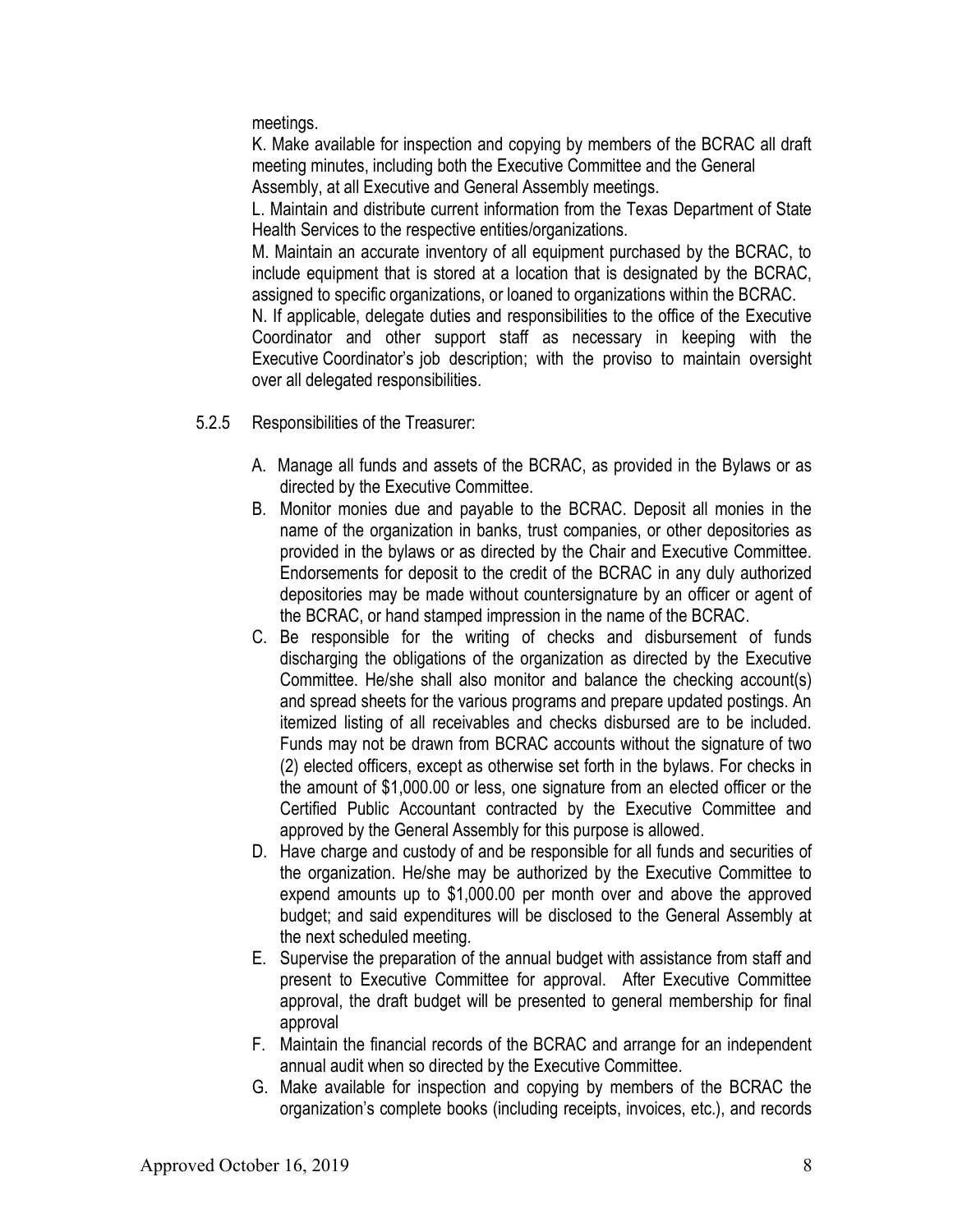meetings.

 K. Make available for inspection and copying by members of the BCRAC all draft meeting minutes, including both the Executive Committee and the General Assembly, at all Executive and General Assembly meetings.

 L. Maintain and distribute current information from the Texas Department of State Health Services to the respective entities/organizations.

 M. Maintain an accurate inventory of all equipment purchased by the BCRAC, to include equipment that is stored at a location that is designated by the BCRAC, assigned to specific organizations, or loaned to organizations within the BCRAC.

 N. If applicable, delegate duties and responsibilities to the office of the Executive Coordinator and other support staff as necessary in keeping with the Executive Coordinator's job description; with the proviso to maintain oversight over all delegated responsibilities.

- 5.2.5 Responsibilities of the Treasurer:
	- A. Manage all funds and assets of the BCRAC, as provided in the Bylaws or as directed by the Executive Committee.
	- B. Monitor monies due and payable to the BCRAC. Deposit all monies in the name of the organization in banks, trust companies, or other depositories as provided in the bylaws or as directed by the Chair and Executive Committee. Endorsements for deposit to the credit of the BCRAC in any duly authorized depositories may be made without countersignature by an officer or agent of the BCRAC, or hand stamped impression in the name of the BCRAC.
	- C. Be responsible for the writing of checks and disbursement of funds discharging the obligations of the organization as directed by the Executive Committee. He/she shall also monitor and balance the checking account(s) and spread sheets for the various programs and prepare updated postings. An itemized listing of all receivables and checks disbursed are to be included. Funds may not be drawn from BCRAC accounts without the signature of two (2) elected officers, except as otherwise set forth in the bylaws. For checks in the amount of \$1,000.00 or less, one signature from an elected officer or the Certified Public Accountant contracted by the Executive Committee and approved by the General Assembly for this purpose is allowed.
	- D. Have charge and custody of and be responsible for all funds and securities of the organization. He/she may be authorized by the Executive Committee to expend amounts up to \$1,000.00 per month over and above the approved budget; and said expenditures will be disclosed to the General Assembly at the next scheduled meeting.
	- E. Supervise the preparation of the annual budget with assistance from staff and present to Executive Committee for approval. After Executive Committee approval, the draft budget will be presented to general membership for final approval
	- F. Maintain the financial records of the BCRAC and arrange for an independent annual audit when so directed by the Executive Committee.
	- G. Make available for inspection and copying by members of the BCRAC the organization's complete books (including receipts, invoices, etc.), and records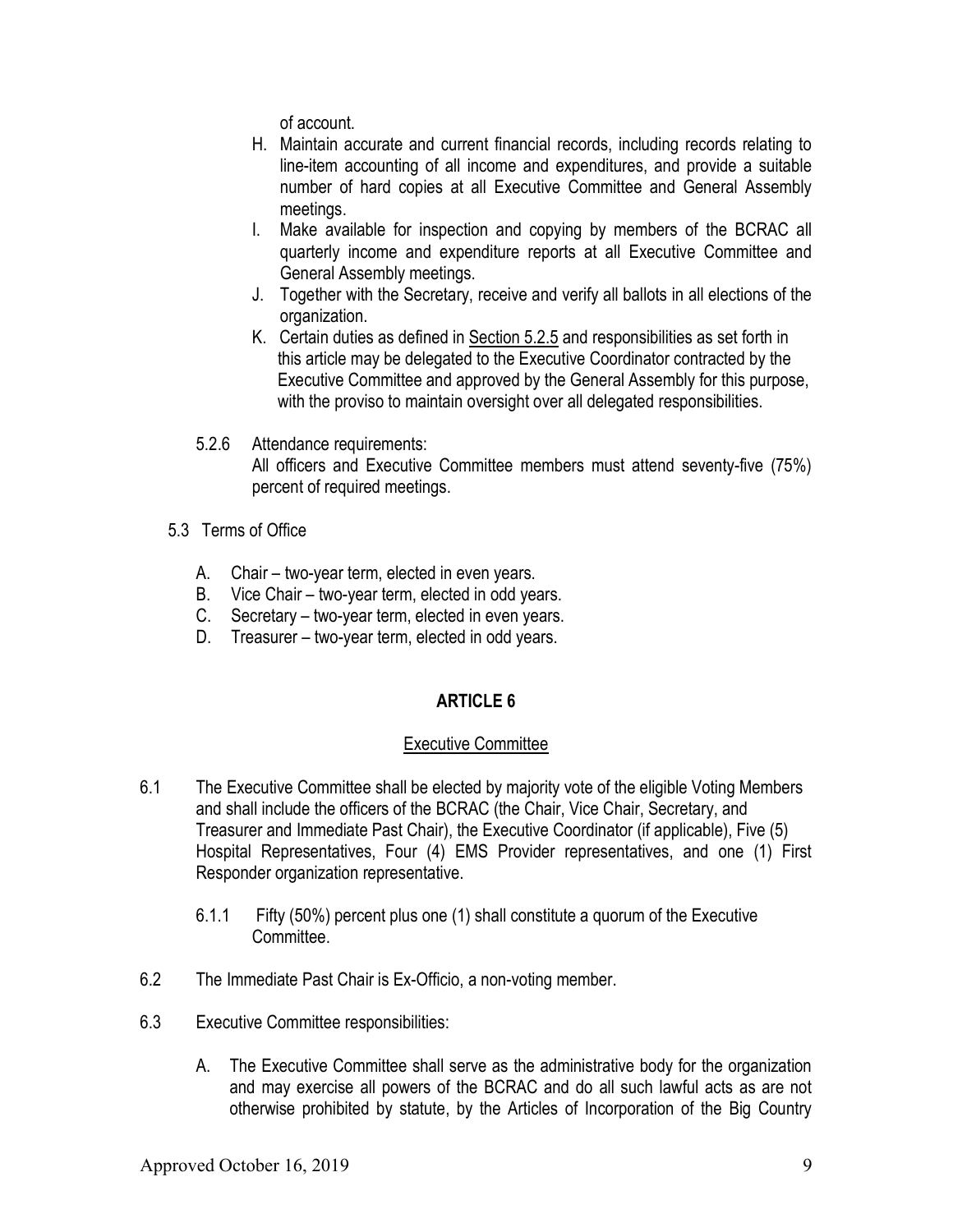of account.

- H. Maintain accurate and current financial records, including records relating to line-item accounting of all income and expenditures, and provide a suitable number of hard copies at all Executive Committee and General Assembly meetings.
- I. Make available for inspection and copying by members of the BCRAC all quarterly income and expenditure reports at all Executive Committee and General Assembly meetings.
- J. Together with the Secretary, receive and verify all ballots in all elections of the organization.
- K. Certain duties as defined in Section 5.2.5 and responsibilities as set forth in this article may be delegated to the Executive Coordinator contracted by the Executive Committee and approved by the General Assembly for this purpose, with the proviso to maintain oversight over all delegated responsibilities.
- 5.2.6 Attendance requirements: All officers and Executive Committee members must attend seventy-five (75%) percent of required meetings.
- 5.3 Terms of Office
	- A. Chair two-year term, elected in even years.
	- B. Vice Chair two-year term, elected in odd years.
	- C. Secretary two-year term, elected in even years.
	- D. Treasurer two-year term, elected in odd years.

# ARTICLE 6

## Executive Committee

- 6.1 The Executive Committee shall be elected by majority vote of the eligible Voting Members and shall include the officers of the BCRAC (the Chair, Vice Chair, Secretary, and Treasurer and Immediate Past Chair), the Executive Coordinator (if applicable), Five (5) Hospital Representatives, Four (4) EMS Provider representatives, and one (1) First Responder organization representative.
	- 6.1.1 Fifty (50%) percent plus one (1) shall constitute a quorum of the Executive Committee.
- 6.2 The Immediate Past Chair is Ex-Officio, a non-voting member.
- 6.3 Executive Committee responsibilities:
	- A. The Executive Committee shall serve as the administrative body for the organization and may exercise all powers of the BCRAC and do all such lawful acts as are not otherwise prohibited by statute, by the Articles of Incorporation of the Big Country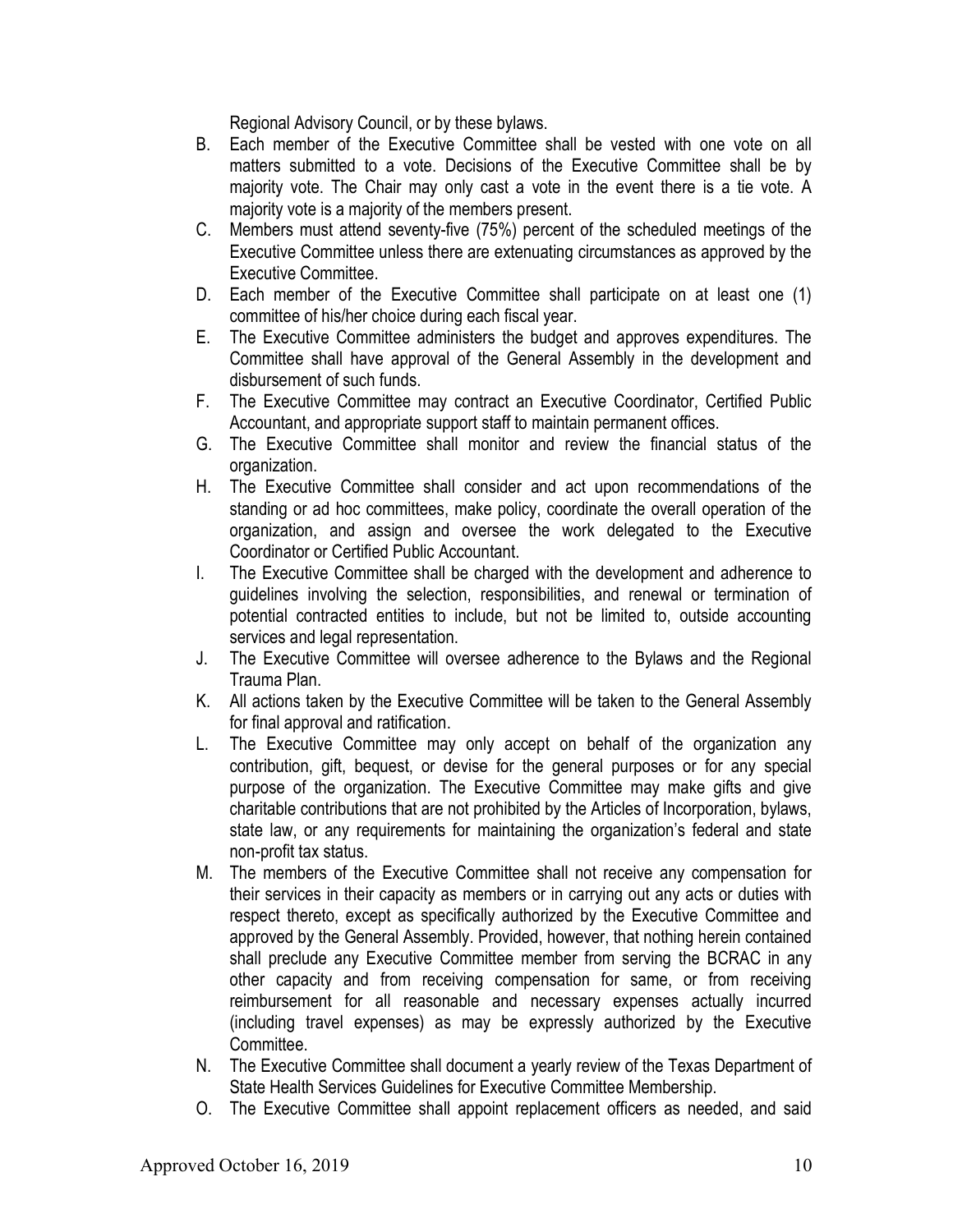Regional Advisory Council, or by these bylaws.

- B. Each member of the Executive Committee shall be vested with one vote on all matters submitted to a vote. Decisions of the Executive Committee shall be by majority vote. The Chair may only cast a vote in the event there is a tie vote. A majority vote is a majority of the members present.
- C. Members must attend seventy-five (75%) percent of the scheduled meetings of the Executive Committee unless there are extenuating circumstances as approved by the Executive Committee.
- D. Each member of the Executive Committee shall participate on at least one (1) committee of his/her choice during each fiscal year.
- E. The Executive Committee administers the budget and approves expenditures. The Committee shall have approval of the General Assembly in the development and disbursement of such funds.
- F. The Executive Committee may contract an Executive Coordinator, Certified Public Accountant, and appropriate support staff to maintain permanent offices.
- G. The Executive Committee shall monitor and review the financial status of the organization.
- H. The Executive Committee shall consider and act upon recommendations of the standing or ad hoc committees, make policy, coordinate the overall operation of the organization, and assign and oversee the work delegated to the Executive Coordinator or Certified Public Accountant.
- I. The Executive Committee shall be charged with the development and adherence to guidelines involving the selection, responsibilities, and renewal or termination of potential contracted entities to include, but not be limited to, outside accounting services and legal representation.
- J. The Executive Committee will oversee adherence to the Bylaws and the Regional Trauma Plan.
- K. All actions taken by the Executive Committee will be taken to the General Assembly for final approval and ratification.
- L. The Executive Committee may only accept on behalf of the organization any contribution, gift, bequest, or devise for the general purposes or for any special purpose of the organization. The Executive Committee may make gifts and give charitable contributions that are not prohibited by the Articles of Incorporation, bylaws, state law, or any requirements for maintaining the organization's federal and state non-profit tax status.
- M. The members of the Executive Committee shall not receive any compensation for their services in their capacity as members or in carrying out any acts or duties with respect thereto, except as specifically authorized by the Executive Committee and approved by the General Assembly. Provided, however, that nothing herein contained shall preclude any Executive Committee member from serving the BCRAC in any other capacity and from receiving compensation for same, or from receiving reimbursement for all reasonable and necessary expenses actually incurred (including travel expenses) as may be expressly authorized by the Executive Committee.
- N. The Executive Committee shall document a yearly review of the Texas Department of State Health Services Guidelines for Executive Committee Membership.
- O. The Executive Committee shall appoint replacement officers as needed, and said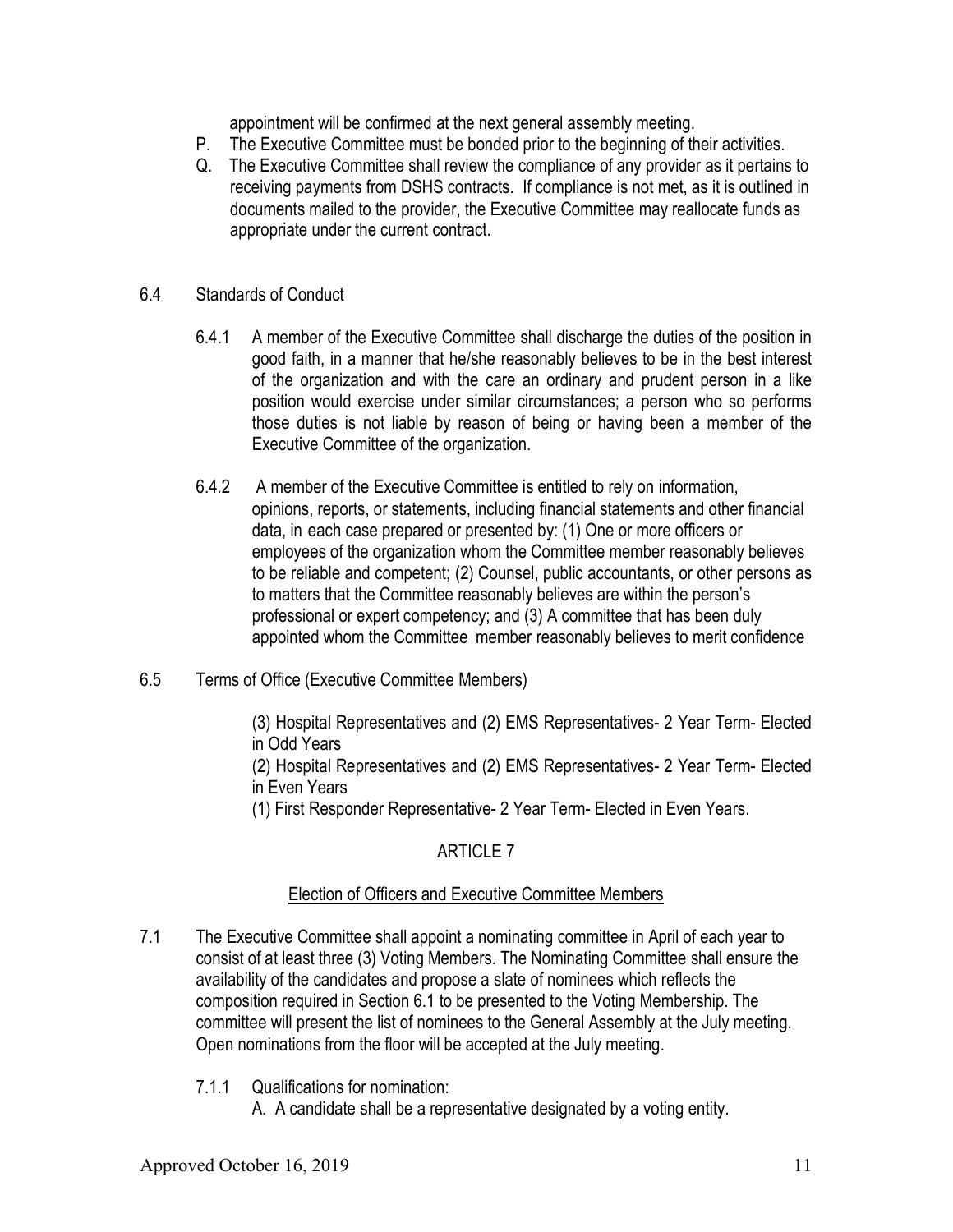appointment will be confirmed at the next general assembly meeting.

- P. The Executive Committee must be bonded prior to the beginning of their activities.
- Q. The Executive Committee shall review the compliance of any provider as it pertains to receiving payments from DSHS contracts. If compliance is not met, as it is outlined in documents mailed to the provider, the Executive Committee may reallocate funds as appropriate under the current contract.

## 6.4 Standards of Conduct

- 6.4.1 A member of the Executive Committee shall discharge the duties of the position in good faith, in a manner that he/she reasonably believes to be in the best interest of the organization and with the care an ordinary and prudent person in a like position would exercise under similar circumstances; a person who so performs those duties is not liable by reason of being or having been a member of the Executive Committee of the organization.
- 6.4.2 A member of the Executive Committee is entitled to rely on information, opinions, reports, or statements, including financial statements and other financial data, in each case prepared or presented by: (1) One or more officers or employees of the organization whom the Committee member reasonably believes to be reliable and competent; (2) Counsel, public accountants, or other persons as to matters that the Committee reasonably believes are within the person's professional or expert competency; and (3) A committee that has been duly appointed whom the Committee member reasonably believes to merit confidence
- 6.5 Terms of Office (Executive Committee Members)

(3) Hospital Representatives and (2) EMS Representatives- 2 Year Term- Elected in Odd Years

(2) Hospital Representatives and (2) EMS Representatives- 2 Year Term- Elected in Even Years

(1) First Responder Representative- 2 Year Term- Elected in Even Years.

# ARTICLE 7

# Election of Officers and Executive Committee Members

- 7.1 The Executive Committee shall appoint a nominating committee in April of each year to consist of at least three (3) Voting Members. The Nominating Committee shall ensure the availability of the candidates and propose a slate of nominees which reflects the composition required in Section 6.1 to be presented to the Voting Membership. The committee will present the list of nominees to the General Assembly at the July meeting. Open nominations from the floor will be accepted at the July meeting.
	- 7.1.1 Qualifications for nomination:

A. A candidate shall be a representative designated by a voting entity.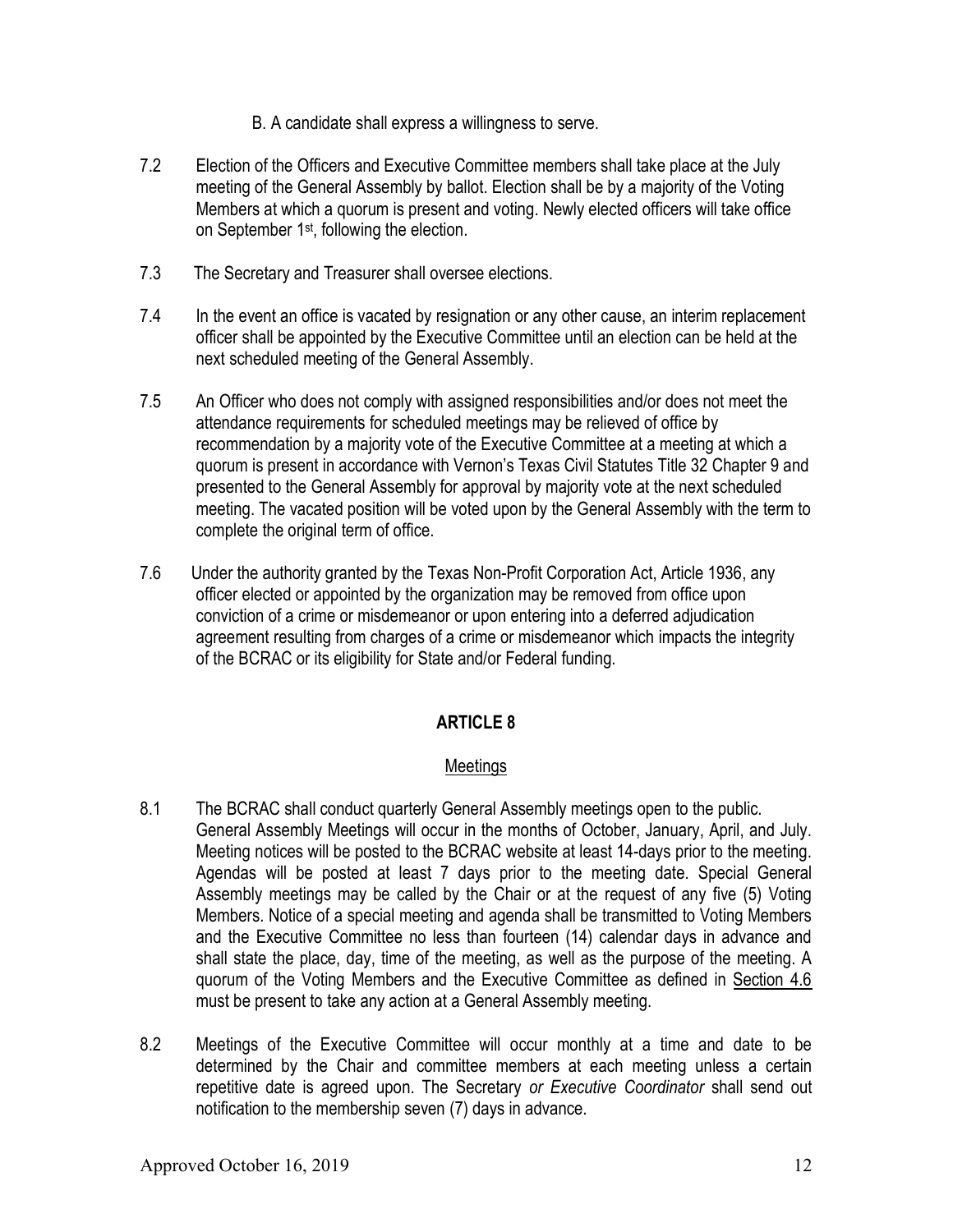- B. A candidate shall express a willingness to serve.
- 7.2 Election of the Officers and Executive Committee members shall take place at the July meeting of the General Assembly by ballot. Election shall be by a majority of the Voting Members at which a quorum is present and voting. Newly elected officers will take office on September 1st, following the election.
- 7.3 The Secretary and Treasurer shall oversee elections.
- 7.4 In the event an office is vacated by resignation or any other cause, an interim replacement officer shall be appointed by the Executive Committee until an election can be held at the next scheduled meeting of the General Assembly.
- 7.5 An Officer who does not comply with assigned responsibilities and/or does not meet the attendance requirements for scheduled meetings may be relieved of office by recommendation by a majority vote of the Executive Committee at a meeting at which a quorum is present in accordance with Vernon's Texas Civil Statutes Title 32 Chapter 9 and presented to the General Assembly for approval by majority vote at the next scheduled meeting. The vacated position will be voted upon by the General Assembly with the term to complete the original term of office.
- 7.6 Under the authority granted by the Texas Non-Profit Corporation Act, Article 1936, any officer elected or appointed by the organization may be removed from office upon conviction of a crime or misdemeanor or upon entering into a deferred adjudication agreement resulting from charges of a crime or misdemeanor which impacts the integrity of the BCRAC or its eligibility for State and/or Federal funding.

## Meetings

- 8.1 The BCRAC shall conduct quarterly General Assembly meetings open to the public. General Assembly Meetings will occur in the months of October, January, April, and July. Meeting notices will be posted to the BCRAC website at least 14-days prior to the meeting. Agendas will be posted at least 7 days prior to the meeting date. Special General Assembly meetings may be called by the Chair or at the request of any five (5) Voting Members. Notice of a special meeting and agenda shall be transmitted to Voting Members and the Executive Committee no less than fourteen (14) calendar days in advance and shall state the place, day, time of the meeting, as well as the purpose of the meeting. A quorum of the Voting Members and the Executive Committee as defined in Section 4.6 must be present to take any action at a General Assembly meeting.
- 8.2 Meetings of the Executive Committee will occur monthly at a time and date to be determined by the Chair and committee members at each meeting unless a certain repetitive date is agreed upon. The Secretary or Executive Coordinator shall send out notification to the membership seven (7) days in advance.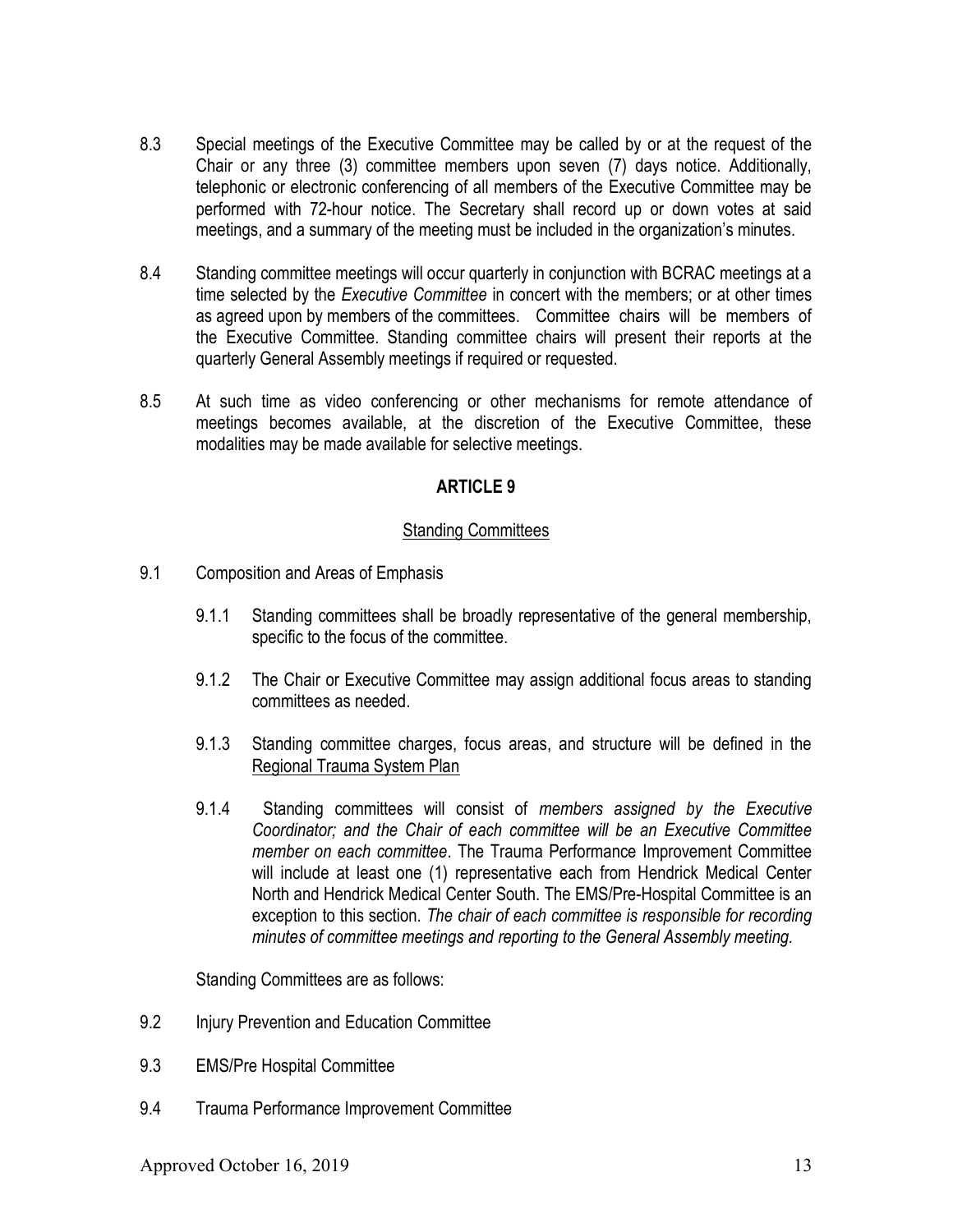- 8.3 Special meetings of the Executive Committee may be called by or at the request of the Chair or any three (3) committee members upon seven (7) days notice. Additionally, telephonic or electronic conferencing of all members of the Executive Committee may be performed with 72-hour notice. The Secretary shall record up or down votes at said meetings, and a summary of the meeting must be included in the organization's minutes.
- 8.4 Standing committee meetings will occur quarterly in conjunction with BCRAC meetings at a time selected by the *Executive Committee* in concert with the members; or at other times as agreed upon by members of the committees. Committee chairs will be members of the Executive Committee. Standing committee chairs will present their reports at the quarterly General Assembly meetings if required or requested.
- 8.5 At such time as video conferencing or other mechanisms for remote attendance of meetings becomes available, at the discretion of the Executive Committee, these modalities may be made available for selective meetings.

## **Standing Committees**

- 9.1 Composition and Areas of Emphasis
	- 9.1.1 Standing committees shall be broadly representative of the general membership, specific to the focus of the committee.
	- 9.1.2 The Chair or Executive Committee may assign additional focus areas to standing committees as needed.
	- 9.1.3 Standing committee charges, focus areas, and structure will be defined in the Regional Trauma System Plan
	- 9.1.4 Standing committees will consist of members assigned by the Executive Coordinator; and the Chair of each committee will be an Executive Committee member on each committee. The Trauma Performance Improvement Committee will include at least one (1) representative each from Hendrick Medical Center North and Hendrick Medical Center South. The EMS/Pre-Hospital Committee is an exception to this section. The chair of each committee is responsible for recording minutes of committee meetings and reporting to the General Assembly meeting.

Standing Committees are as follows:

- 9.2 Injury Prevention and Education Committee
- 9.3 EMS/Pre Hospital Committee
- 9.4 Trauma Performance Improvement Committee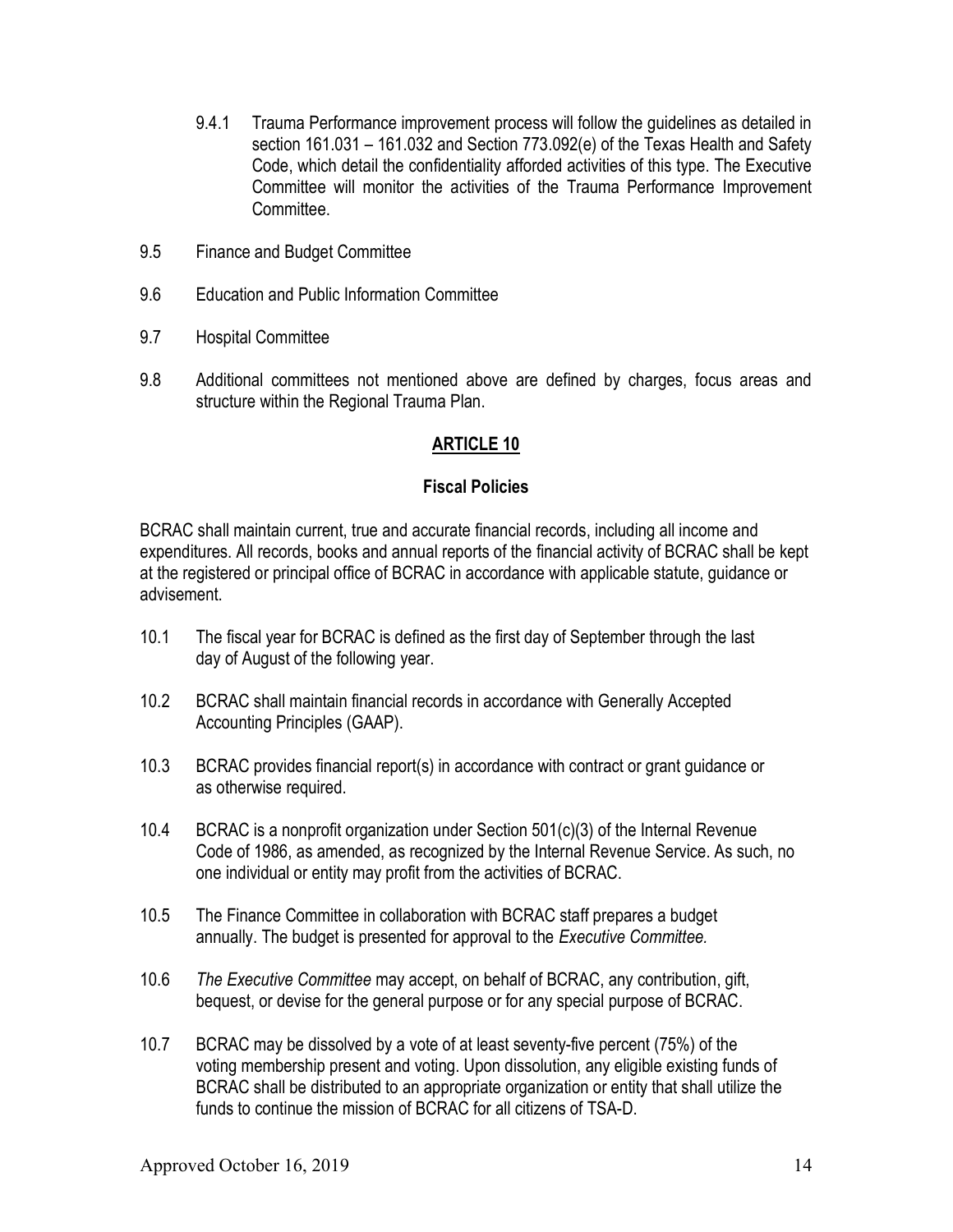- 9.4.1 Trauma Performance improvement process will follow the guidelines as detailed in section 161.031 – 161.032 and Section 773.092(e) of the Texas Health and Safety Code, which detail the confidentiality afforded activities of this type. The Executive Committee will monitor the activities of the Trauma Performance Improvement **Committee**
- 9.5 Finance and Budget Committee
- 9.6 Education and Public Information Committee
- 9.7 Hospital Committee
- 9.8 Additional committees not mentioned above are defined by charges, focus areas and structure within the Regional Trauma Plan.

### Fiscal Policies

BCRAC shall maintain current, true and accurate financial records, including all income and expenditures. All records, books and annual reports of the financial activity of BCRAC shall be kept at the registered or principal office of BCRAC in accordance with applicable statute, guidance or advisement.

- 10.1 The fiscal year for BCRAC is defined as the first day of September through the last day of August of the following year.
- 10.2 BCRAC shall maintain financial records in accordance with Generally Accepted Accounting Principles (GAAP).
- 10.3 BCRAC provides financial report(s) in accordance with contract or grant guidance or as otherwise required.
- 10.4 BCRAC is a nonprofit organization under Section 501(c)(3) of the Internal Revenue Code of 1986, as amended, as recognized by the Internal Revenue Service. As such, no one individual or entity may profit from the activities of BCRAC.
- 10.5 The Finance Committee in collaboration with BCRAC staff prepares a budget annually. The budget is presented for approval to the Executive Committee.
- 10.6 The Executive Committee may accept, on behalf of BCRAC, any contribution, gift, bequest, or devise for the general purpose or for any special purpose of BCRAC.
- 10.7 BCRAC may be dissolved by a vote of at least seventy-five percent (75%) of the voting membership present and voting. Upon dissolution, any eligible existing funds of BCRAC shall be distributed to an appropriate organization or entity that shall utilize the funds to continue the mission of BCRAC for all citizens of TSA-D.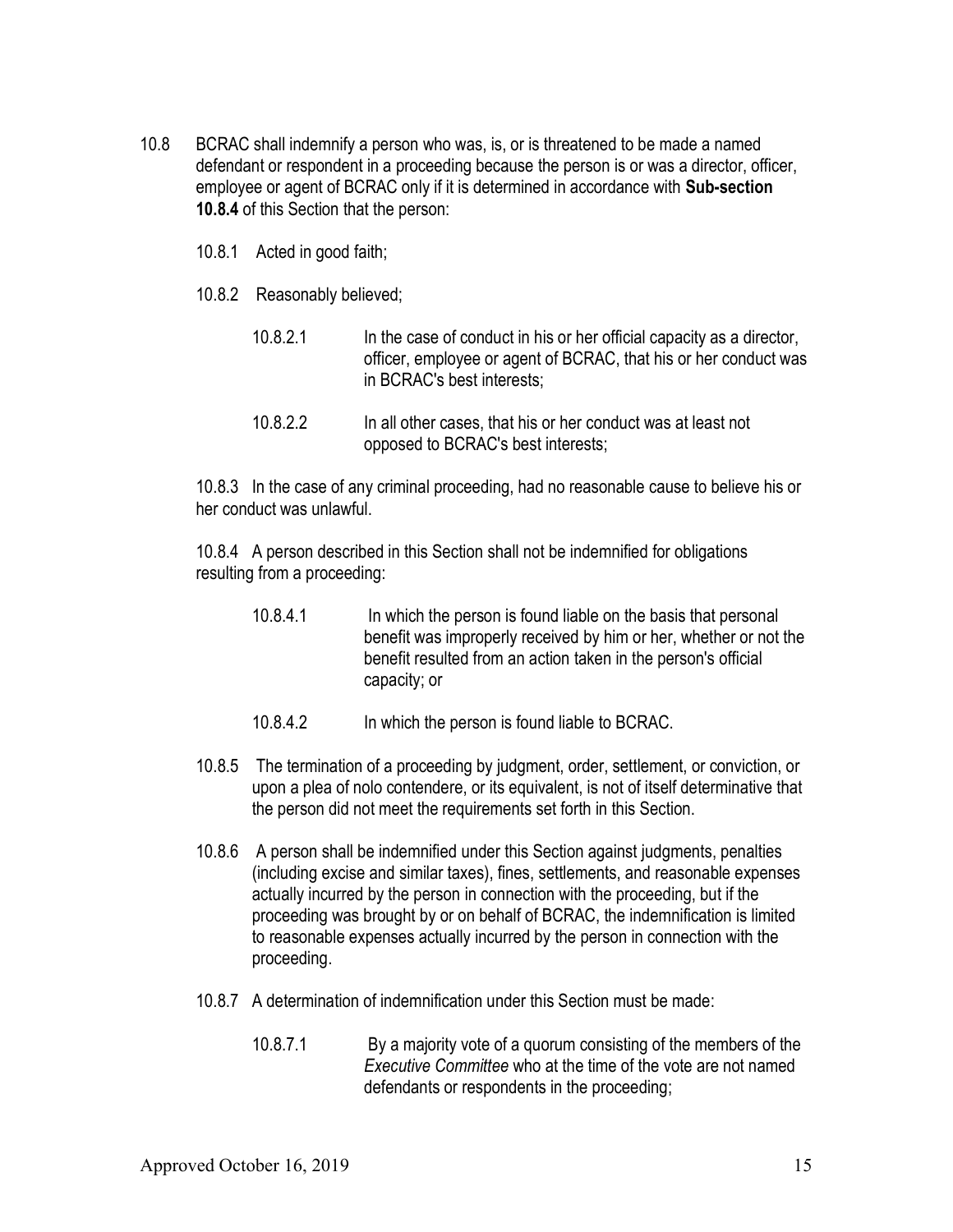- 10.8 BCRAC shall indemnify a person who was, is, or is threatened to be made a named defendant or respondent in a proceeding because the person is or was a director, officer, employee or agent of BCRAC only if it is determined in accordance with Sub-section 10.8.4 of this Section that the person:
	- 10.8.1 Acted in good faith;
	- 10.8.2 Reasonably believed;
		- 10.8.2.1 In the case of conduct in his or her official capacity as a director, officer, employee or agent of BCRAC, that his or her conduct was in BCRAC's best interests;
		- 10.8.2.2 In all other cases, that his or her conduct was at least not opposed to BCRAC's best interests;

10.8.3 In the case of any criminal proceeding, had no reasonable cause to believe his or her conduct was unlawful.

10.8.4 A person described in this Section shall not be indemnified for obligations resulting from a proceeding:

- 10.8.4.1 In which the person is found liable on the basis that personal benefit was improperly received by him or her, whether or not the benefit resulted from an action taken in the person's official capacity; or
- 10.8.4.2 In which the person is found liable to BCRAC.
- 10.8.5 The termination of a proceeding by judgment, order, settlement, or conviction, or upon a plea of nolo contendere, or its equivalent, is not of itself determinative that the person did not meet the requirements set forth in this Section.
- 10.8.6 A person shall be indemnified under this Section against judgments, penalties (including excise and similar taxes), fines, settlements, and reasonable expenses actually incurred by the person in connection with the proceeding, but if the proceeding was brought by or on behalf of BCRAC, the indemnification is limited to reasonable expenses actually incurred by the person in connection with the proceeding.
- 10.8.7 A determination of indemnification under this Section must be made:
	- 10.8.7.1 By a majority vote of a quorum consisting of the members of the Executive Committee who at the time of the vote are not named defendants or respondents in the proceeding;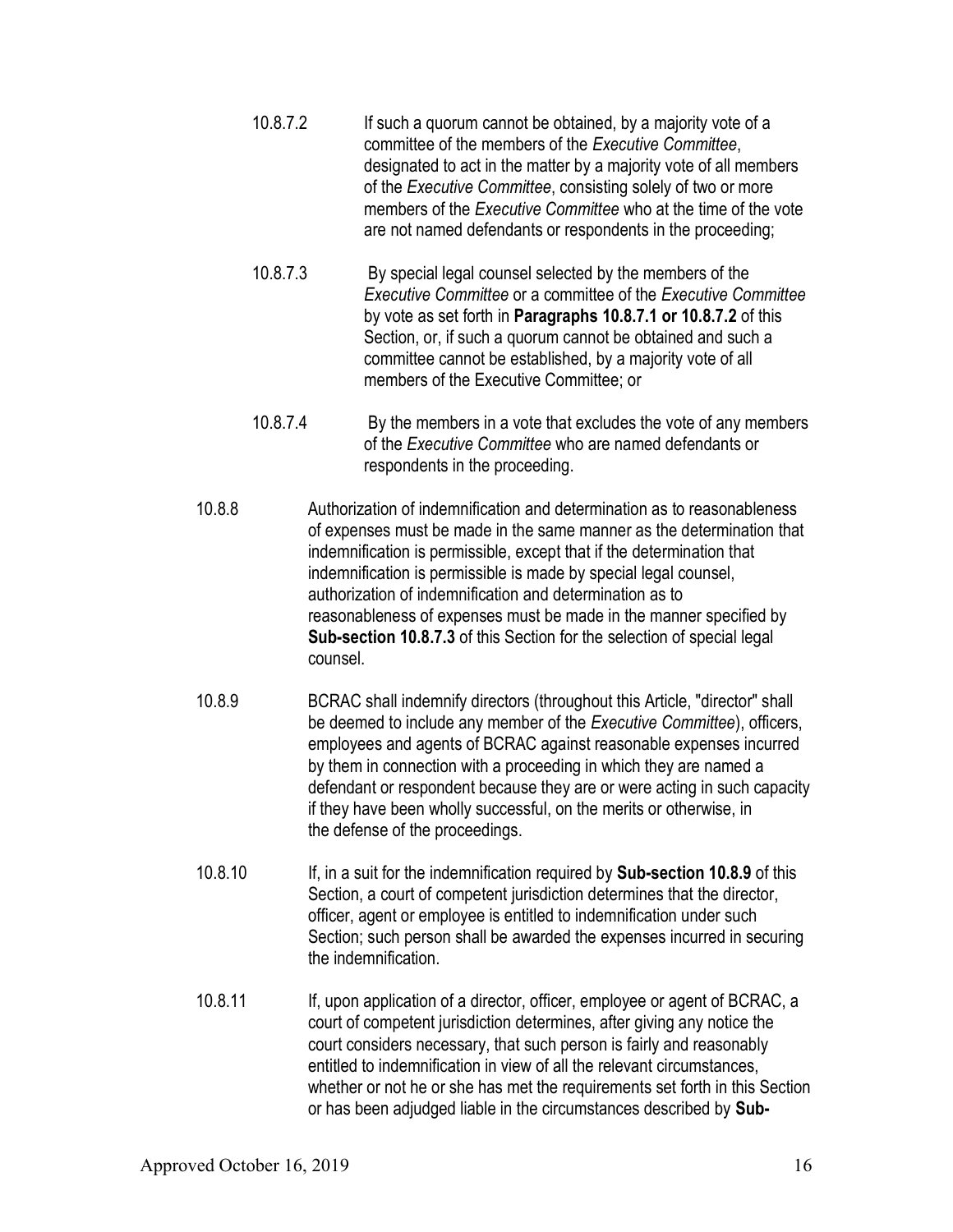- 10.8.7.2 If such a quorum cannot be obtained, by a majority vote of a committee of the members of the Executive Committee, designated to act in the matter by a majority vote of all members of the Executive Committee, consisting solely of two or more members of the Executive Committee who at the time of the vote are not named defendants or respondents in the proceeding;
- 10.8.7.3 By special legal counsel selected by the members of the Executive Committee or a committee of the Executive Committee by vote as set forth in Paragraphs 10.8.7.1 or 10.8.7.2 of this Section, or, if such a quorum cannot be obtained and such a committee cannot be established, by a majority vote of all members of the Executive Committee; or
- 10.8.7.4 By the members in a vote that excludes the vote of any members of the Executive Committee who are named defendants or respondents in the proceeding.
- 10.8.8 Authorization of indemnification and determination as to reasonableness of expenses must be made in the same manner as the determination that indemnification is permissible, except that if the determination that indemnification is permissible is made by special legal counsel, authorization of indemnification and determination as to reasonableness of expenses must be made in the manner specified by Sub-section 10.8.7.3 of this Section for the selection of special legal counsel.
- 10.8.9 BCRAC shall indemnify directors (throughout this Article, "director" shall be deemed to include any member of the *Executive Committee*), officers, employees and agents of BCRAC against reasonable expenses incurred by them in connection with a proceeding in which they are named a defendant or respondent because they are or were acting in such capacity if they have been wholly successful, on the merits or otherwise, in the defense of the proceedings.
- 10.8.10 If, in a suit for the indemnification required by **Sub-section 10.8.9** of this Section, a court of competent jurisdiction determines that the director, officer, agent or employee is entitled to indemnification under such Section; such person shall be awarded the expenses incurred in securing the indemnification.
- 10.8.11 If, upon application of a director, officer, employee or agent of BCRAC, a court of competent jurisdiction determines, after giving any notice the court considers necessary, that such person is fairly and reasonably entitled to indemnification in view of all the relevant circumstances, whether or not he or she has met the requirements set forth in this Section or has been adjudged liable in the circumstances described by Sub-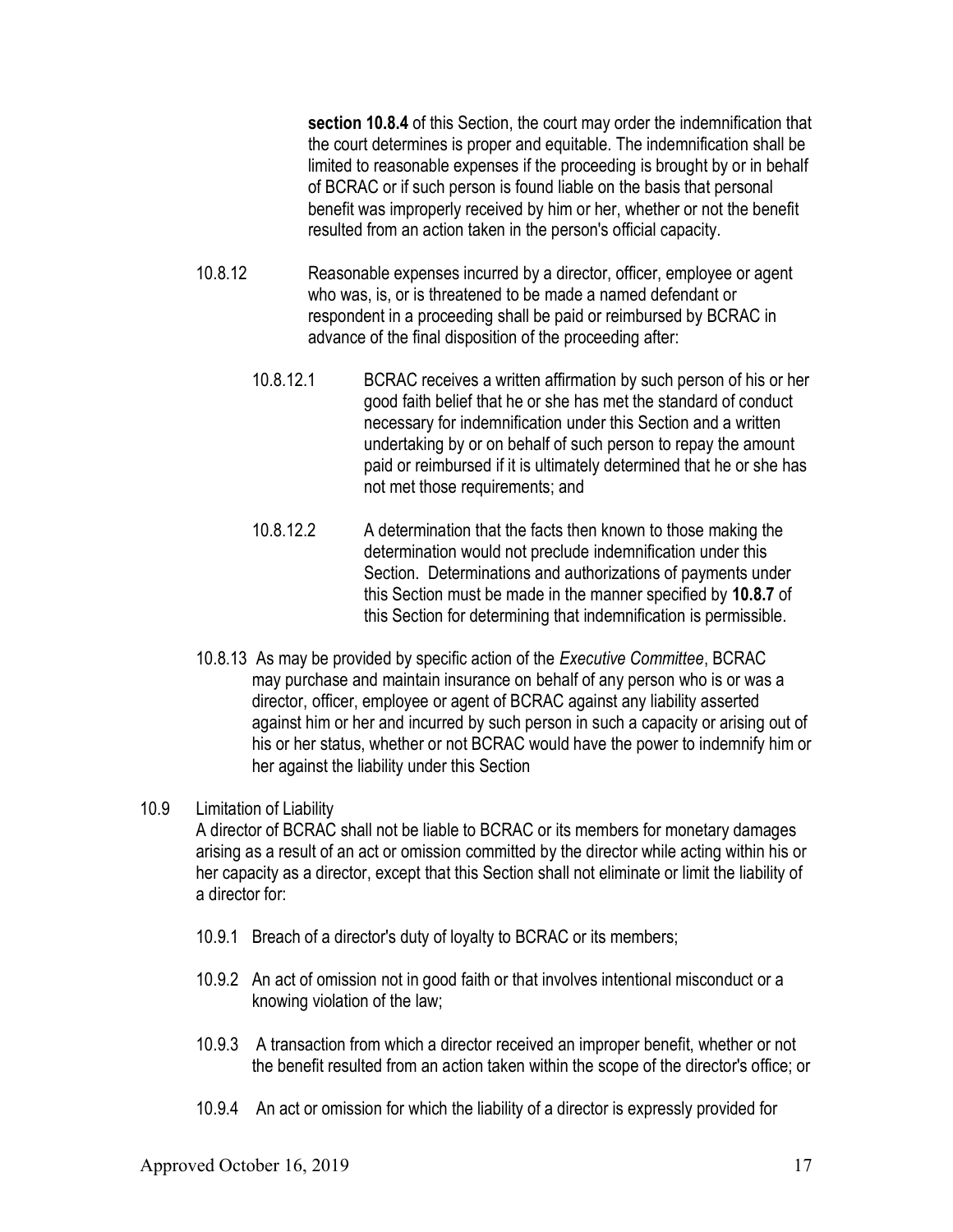section 10.8.4 of this Section, the court may order the indemnification that the court determines is proper and equitable. The indemnification shall be limited to reasonable expenses if the proceeding is brought by or in behalf of BCRAC or if such person is found liable on the basis that personal benefit was improperly received by him or her, whether or not the benefit resulted from an action taken in the person's official capacity.

- 10.8.12 Reasonable expenses incurred by a director, officer, employee or agent who was, is, or is threatened to be made a named defendant or respondent in a proceeding shall be paid or reimbursed by BCRAC in advance of the final disposition of the proceeding after:
	- 10.8.12.1 BCRAC receives a written affirmation by such person of his or her good faith belief that he or she has met the standard of conduct necessary for indemnification under this Section and a written undertaking by or on behalf of such person to repay the amount paid or reimbursed if it is ultimately determined that he or she has not met those requirements; and
	- 10.8.12.2 A determination that the facts then known to those making the determination would not preclude indemnification under this Section. Determinations and authorizations of payments under this Section must be made in the manner specified by 10.8.7 of this Section for determining that indemnification is permissible.
- 10.8.13 As may be provided by specific action of the Executive Committee, BCRAC may purchase and maintain insurance on behalf of any person who is or was a director, officer, employee or agent of BCRAC against any liability asserted against him or her and incurred by such person in such a capacity or arising out of his or her status, whether or not BCRAC would have the power to indemnify him or her against the liability under this Section

## 10.9 Limitation of Liability

A director of BCRAC shall not be liable to BCRAC or its members for monetary damages arising as a result of an act or omission committed by the director while acting within his or her capacity as a director, except that this Section shall not eliminate or limit the liability of a director for:

- 10.9.1 Breach of a director's duty of loyalty to BCRAC or its members;
- 10.9.2 An act of omission not in good faith or that involves intentional misconduct or a knowing violation of the law;
- 10.9.3 A transaction from which a director received an improper benefit, whether or not the benefit resulted from an action taken within the scope of the director's office; or
- 10.9.4 An act or omission for which the liability of a director is expressly provided for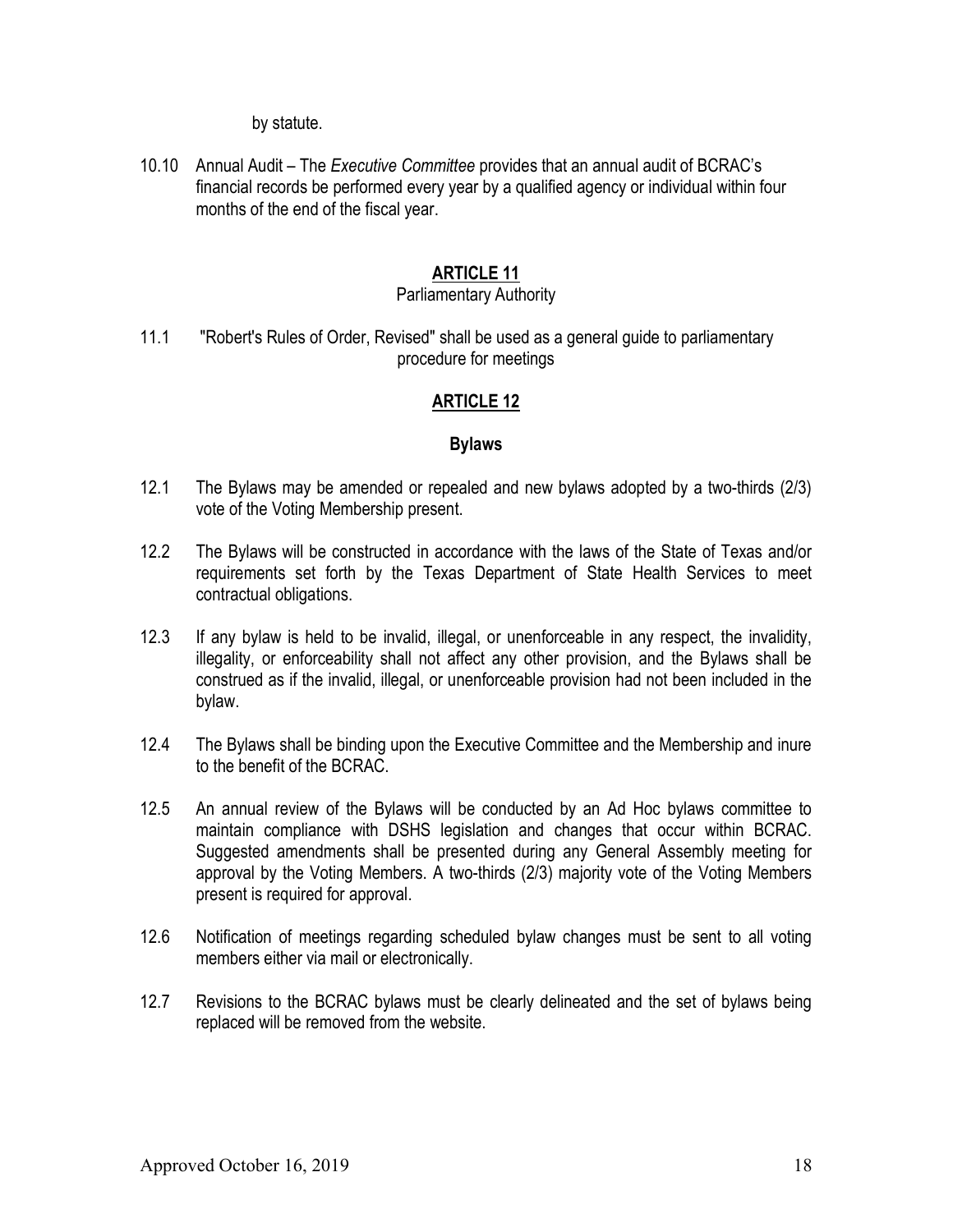by statute.

10.10 Annual Audit – The Executive Committee provides that an annual audit of BCRAC's financial records be performed every year by a qualified agency or individual within four months of the end of the fiscal year.

## ARTICLE 11

#### Parliamentary Authority

11.1 "Robert's Rules of Order, Revised" shall be used as a general guide to parliamentary procedure for meetings

## ARTICLE 12

### Bylaws

- 12.1 The Bylaws may be amended or repealed and new bylaws adopted by a two-thirds (2/3) vote of the Voting Membership present.
- 12.2 The Bylaws will be constructed in accordance with the laws of the State of Texas and/or requirements set forth by the Texas Department of State Health Services to meet contractual obligations.
- 12.3 If any bylaw is held to be invalid, illegal, or unenforceable in any respect, the invalidity, illegality, or enforceability shall not affect any other provision, and the Bylaws shall be construed as if the invalid, illegal, or unenforceable provision had not been included in the bylaw.
- 12.4 The Bylaws shall be binding upon the Executive Committee and the Membership and inure to the benefit of the BCRAC.
- 12.5 An annual review of the Bylaws will be conducted by an Ad Hoc bylaws committee to maintain compliance with DSHS legislation and changes that occur within BCRAC. Suggested amendments shall be presented during any General Assembly meeting for approval by the Voting Members. A two-thirds (2/3) majority vote of the Voting Members present is required for approval.
- 12.6 Notification of meetings regarding scheduled bylaw changes must be sent to all voting members either via mail or electronically.
- 12.7 Revisions to the BCRAC bylaws must be clearly delineated and the set of bylaws being replaced will be removed from the website.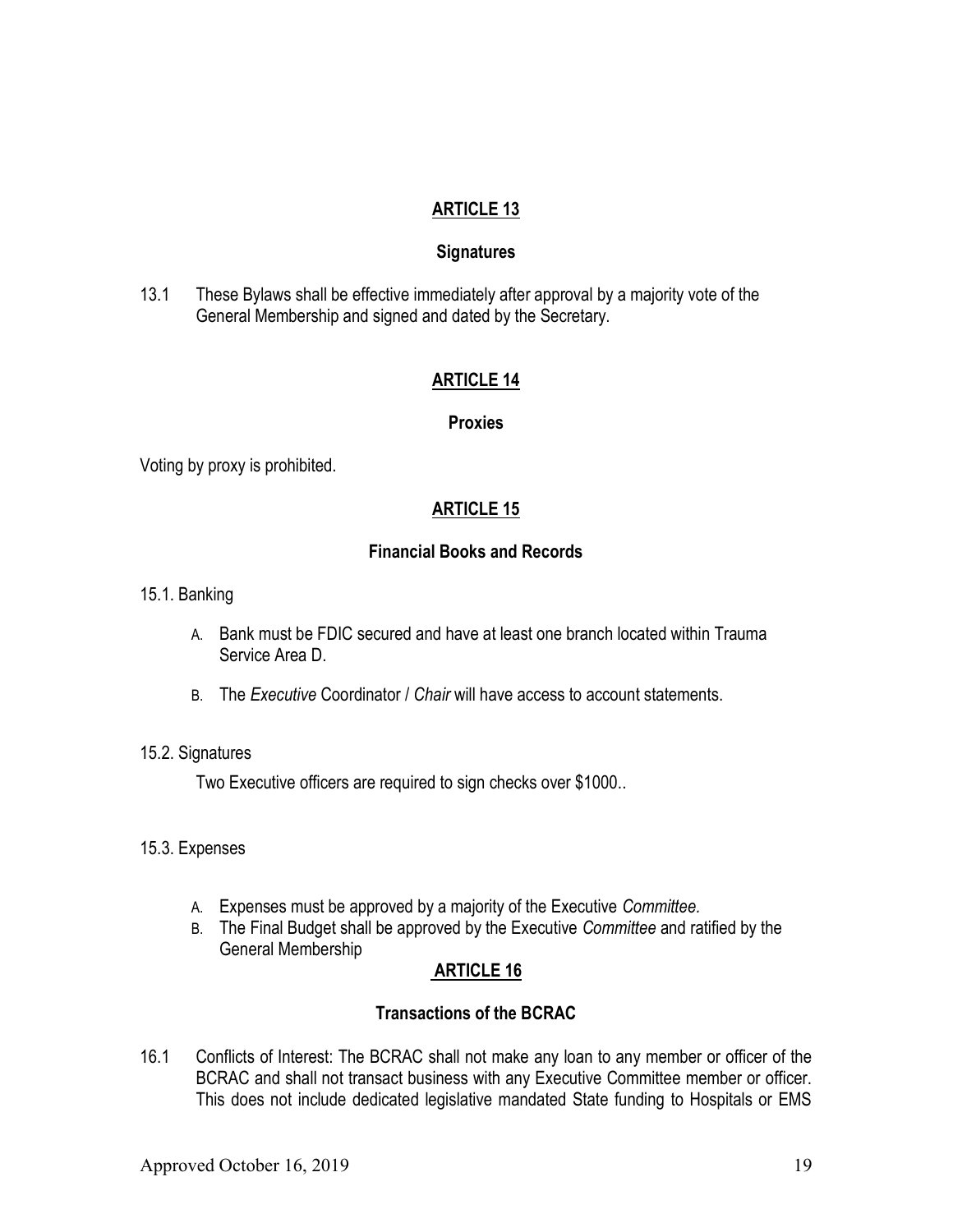### **Signatures**

13.1 These Bylaws shall be effective immediately after approval by a majority vote of the General Membership and signed and dated by the Secretary.

## ARTICLE 14

#### Proxies

Voting by proxy is prohibited.

## ARTICLE 15

### Financial Books and Records

- 15.1. Banking
	- A. Bank must be FDIC secured and have at least one branch located within Trauma Service Area D.
	- B. The Executive Coordinator / Chair will have access to account statements.

#### 15.2. Signatures

Two Executive officers are required to sign checks over \$1000..

- 15.3. Expenses
	- A. Expenses must be approved by a majority of the Executive Committee.
	- B. The Final Budget shall be approved by the Executive Committee and ratified by the General Membership

# ARTICLE 16

# Transactions of the BCRAC

16.1 Conflicts of Interest: The BCRAC shall not make any loan to any member or officer of the BCRAC and shall not transact business with any Executive Committee member or officer. This does not include dedicated legislative mandated State funding to Hospitals or EMS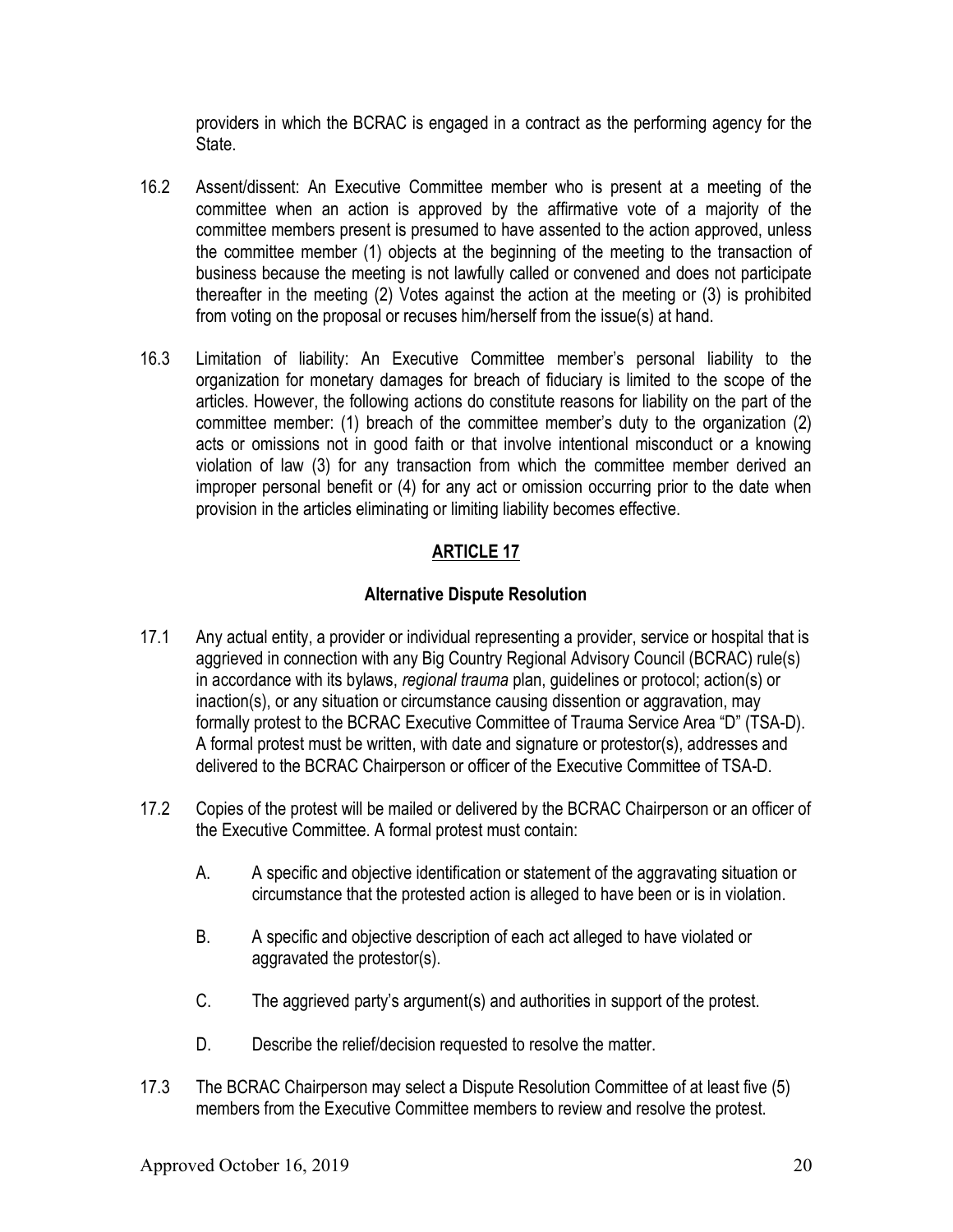providers in which the BCRAC is engaged in a contract as the performing agency for the State.

- 16.2 Assent/dissent: An Executive Committee member who is present at a meeting of the committee when an action is approved by the affirmative vote of a majority of the committee members present is presumed to have assented to the action approved, unless the committee member (1) objects at the beginning of the meeting to the transaction of business because the meeting is not lawfully called or convened and does not participate thereafter in the meeting (2) Votes against the action at the meeting or (3) is prohibited from voting on the proposal or recuses him/herself from the issue(s) at hand.
- 16.3 Limitation of liability: An Executive Committee member's personal liability to the organization for monetary damages for breach of fiduciary is limited to the scope of the articles. However, the following actions do constitute reasons for liability on the part of the committee member: (1) breach of the committee member's duty to the organization (2) acts or omissions not in good faith or that involve intentional misconduct or a knowing violation of law (3) for any transaction from which the committee member derived an improper personal benefit or (4) for any act or omission occurring prior to the date when provision in the articles eliminating or limiting liability becomes effective.

# ARTICLE 17

## Alternative Dispute Resolution

- 17.1 Any actual entity, a provider or individual representing a provider, service or hospital that is aggrieved in connection with any Big Country Regional Advisory Council (BCRAC) rule(s) in accordance with its bylaws, regional trauma plan, guidelines or protocol; action(s) or inaction(s), or any situation or circumstance causing dissention or aggravation, may formally protest to the BCRAC Executive Committee of Trauma Service Area "D" (TSA-D). A formal protest must be written, with date and signature or protestor(s), addresses and delivered to the BCRAC Chairperson or officer of the Executive Committee of TSA-D.
- 17.2 Copies of the protest will be mailed or delivered by the BCRAC Chairperson or an officer of the Executive Committee. A formal protest must contain:
	- A. A specific and objective identification or statement of the aggravating situation or circumstance that the protested action is alleged to have been or is in violation.
	- B. A specific and objective description of each act alleged to have violated or aggravated the protestor(s).
	- C. The aggrieved party's argument(s) and authorities in support of the protest.
	- D. Describe the relief/decision requested to resolve the matter.
- 17.3 The BCRAC Chairperson may select a Dispute Resolution Committee of at least five (5) members from the Executive Committee members to review and resolve the protest.